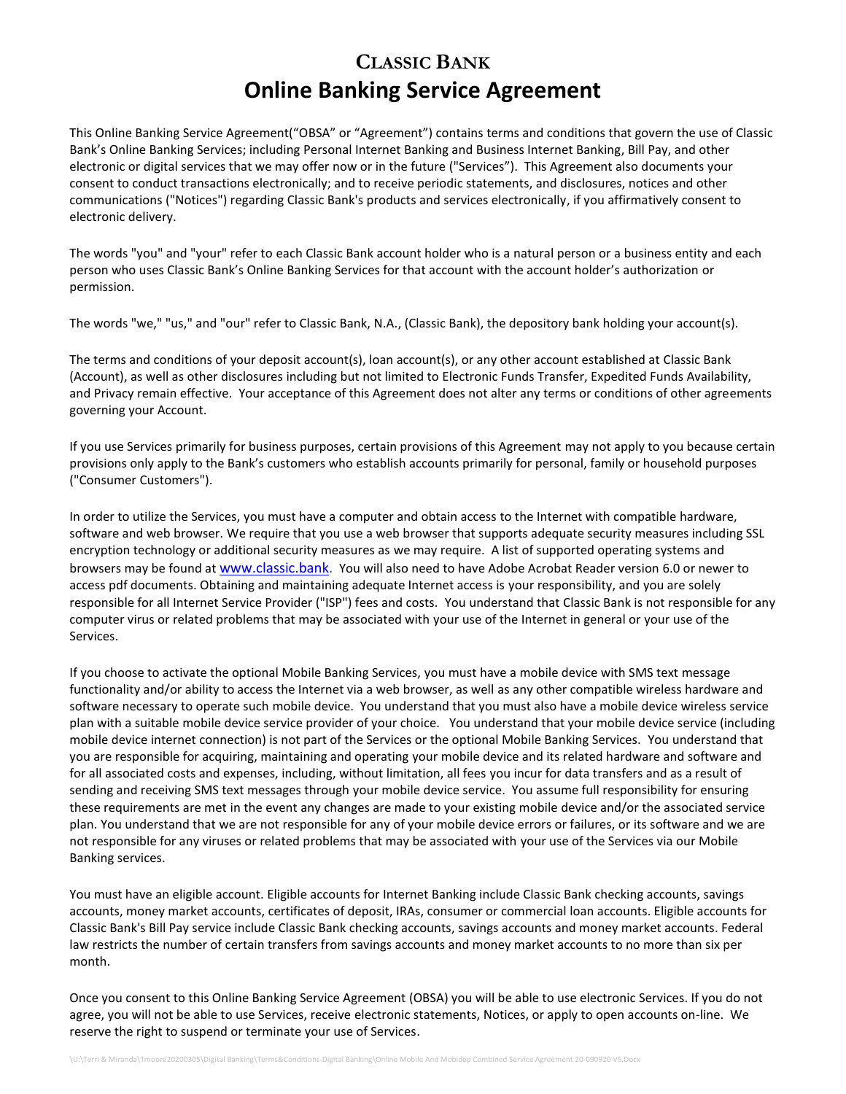# **CLASSIC BANK Online Banking Service Agreement**

This Online Banking Service Agreement("OBSA" or "Agreement") contains terms and conditions that govern the use of Classic Bank's Online Banking Services; including Personal Internet Banking and Business Internet Banking, Bill Pay, and other electronic or digital services that we may offer now or in the future ("Services"). This Agreement also documents your consent to conduct transactions electronically; and to receive periodic statements, and disclosures, notices and other communications ("Notices") regarding Classic Bank's products and services electronically, if you affirmatively consent to electronic delivery.

The words "you" and "your" refer to each Classic Bank account holder who is a natural person or a business entity and each person who uses Classic Bank's Online Banking Services for that account with the account holder's authorization or permission.

The words "we," "us," and "our" refer to Classic Bank, N.A., (Classic Bank), the depository bank holding your account(s).

The terms and conditions of your deposit account(s), loan account(s), or any other account established at Classic Bank (Account), as well as other disclosures including but not limited to Electronic Funds Transfer, Expedited Funds Availability, and Privacy remain effective. Your acceptance of this Agreement does not alter any terms or conditions of other agreements governing your Account.

If you use Services primarily for business purposes, certain provisions of this Agreement may not apply to you because certain provisions only apply to the Bank's customers who establish accounts primarily for personal, family or household purposes ("Consumer Customers").

In order to utilize the Services, you must have a computer and obtain access to the Internet with compatible hardware, software and web browser. We require that you use a web browser that supports adequate security measures including SSL encryption technology or additional security measures as we may require. A list of supported operating systems and browsers may be found at [www.classic.bank.](http://www.classic.bank/) You will also need to have Adobe Acrobat Reader version 6.0 or newer to access pdf documents. Obtaining and maintaining adequate Internet access is your responsibility, and you are solely responsible for all Internet Service Provider ("ISP") fees and costs. You understand that Classic Bank is not responsible for any computer virus or related problems that may be associated with your use of the Internet in general or your use of the Services.

If you choose to activate the optional Mobile Banking Services, you must have a mobile device with SMS text message functionality and/or ability to access the Internet via a web browser, as well as any other compatible wireless hardware and software necessary to operate such mobile device. You understand that you must also have a mobile device wireless service plan with a suitable mobile device service provider of your choice. You understand that your mobile device service (including mobile device internet connection) is not part of the Services or the optional Mobile Banking Services. You understand that you are responsible for acquiring, maintaining and operating your mobile device and its related hardware and software and for all associated costs and expenses, including, without limitation, all fees you incur for data transfers and as a result of sending and receiving SMS text messages through your mobile device service. You assume full responsibility for ensuring these requirements are met in the event any changes are made to your existing mobile device and/or the associated service plan. You understand that we are not responsible for any of your mobile device errors or failures, or its software and we are not responsible for any viruses or related problems that may be associated with your use of the Services via our Mobile Banking services.

You must have an eligible account. Eligible accounts for Internet Banking include Classic Bank checking accounts, savings accounts, money market accounts, certificates of deposit, IRAs, consumer or commercial loan accounts. Eligible accounts for Classic Bank's Bill Pay service include Classic Bank checking accounts, savings accounts and money market accounts. Federal law restricts the number of certain transfers from savings accounts and money market accounts to no more than six per month.

Once you consent to this Online Banking Service Agreement (OBSA) you will be able to use electronic Services. If you do not agree, you will not be able to use Services, receive electronic statements, Notices, or apply to open accounts on-line. We reserve the right to suspend or terminate your use of Services.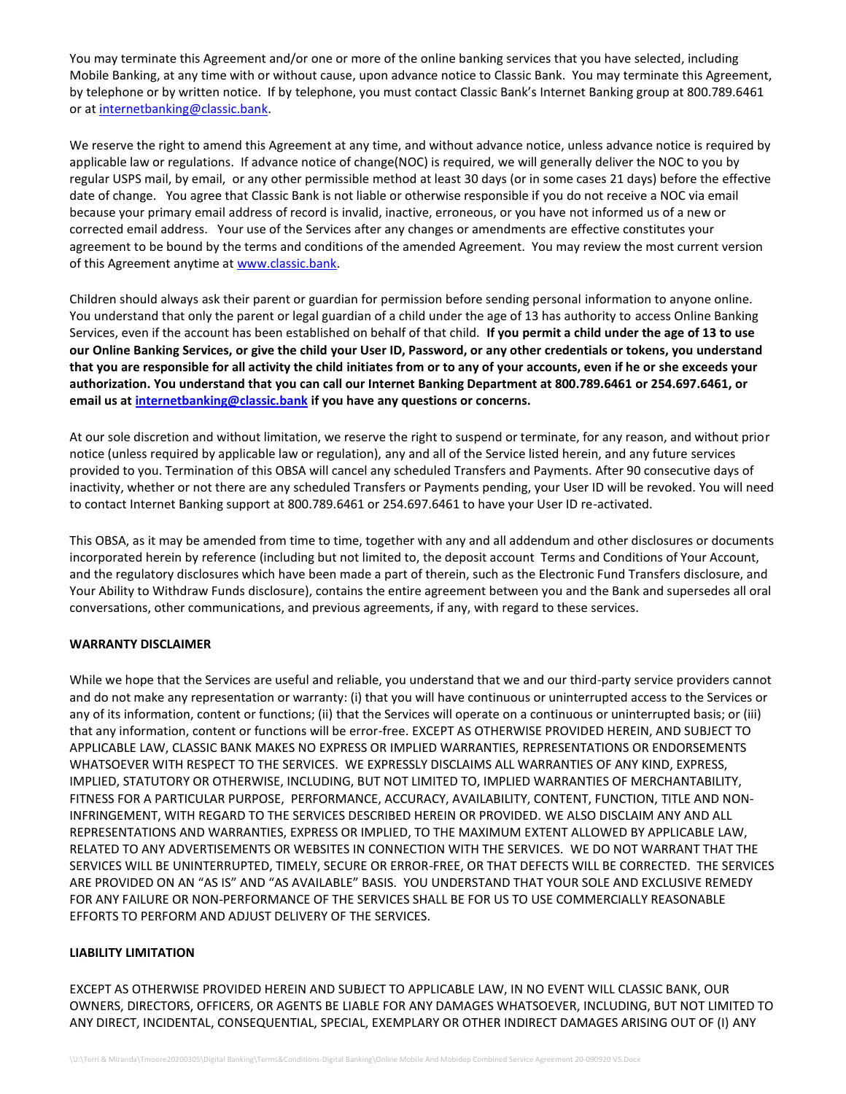You may terminate this Agreement and/or one or more of the online banking services that you have selected, including Mobile Banking, at any time with or without cause, upon advance notice to Classic Bank. You may terminate this Agreement, by telephone or by written notice. If by telephone, you must contact Classic Bank's Internet Banking group at 800.789.6461 or at [internetbanking@classic.bank.](mailto:internetbanking@classic.bank)

We reserve the right to amend this Agreement at any time, and without advance notice, unless advance notice is required by applicable law or regulations. If advance notice of change(NOC) is required, we will generally deliver the NOC to you by regular USPS mail, by email, or any other permissible method at least 30 days (or in some cases 21 days) before the effective date of change. You agree that Classic Bank is not liable or otherwise responsible if you do not receive a NOC via email because your primary email address of record is invalid, inactive, erroneous, or you have not informed us of a new or corrected email address. Your use of the Services after any changes or amendments are effective constitutes your agreement to be bound by the terms and conditions of the amended Agreement. You may review the most current version of this Agreement anytime at [www.classic.bank.](http://www.classic.bank/)

Children should always ask their parent or guardian for permission before sending personal information to anyone online. You understand that only the parent or legal guardian of a child under the age of 13 has authority to access Online Banking Services, even if the account has been established on behalf of that child. **If you permit a child under the age of 13 to use our Online Banking Services, or give the child your User ID, Password, or any other credentials or tokens, you understand that you are responsible for all activity the child initiates from or to any of your accounts, even if he or she exceeds your authorization. You understand that you can call our Internet Banking Department at 800.789.6461 or 254.697.6461, or email us at [internetbanking@classic.bank](mailto:internetbanking@classic.bank) if you have any questions or concerns.**

At our sole discretion and without limitation, we reserve the right to suspend or terminate, for any reason, and without prior notice (unless required by applicable law or regulation), any and all of the Service listed herein, and any future services provided to you. Termination of this OBSA will cancel any scheduled Transfers and Payments. After 90 consecutive days of inactivity, whether or not there are any scheduled Transfers or Payments pending, your User ID will be revoked. You will need to contact Internet Banking support at 800.789.6461 or 254.697.6461 to have your User ID re-activated.

This OBSA, as it may be amended from time to time, together with any and all addendum and other disclosures or documents incorporated herein by reference (including but not limited to, the deposit account Terms and Conditions of Your Account, and the regulatory disclosures which have been made a part of therein, such as the Electronic Fund Transfers disclosure, and Your Ability to Withdraw Funds disclosure), contains the entire agreement between you and the Bank and supersedes all oral conversations, other communications, and previous agreements, if any, with regard to these services.

#### **WARRANTY DISCLAIMER**

While we hope that the Services are useful and reliable, you understand that we and our third-party service providers cannot and do not make any representation or warranty: (i) that you will have continuous or uninterrupted access to the Services or any of its information, content or functions; (ii) that the Services will operate on a continuous or uninterrupted basis; or (iii) that any information, content or functions will be error-free. EXCEPT AS OTHERWISE PROVIDED HEREIN, AND SUBJECT TO APPLICABLE LAW, CLASSIC BANK MAKES NO EXPRESS OR IMPLIED WARRANTIES, REPRESENTATIONS OR ENDORSEMENTS WHATSOEVER WITH RESPECT TO THE SERVICES. WE EXPRESSLY DISCLAIMS ALL WARRANTIES OF ANY KIND, EXPRESS, IMPLIED, STATUTORY OR OTHERWISE, INCLUDING, BUT NOT LIMITED TO, IMPLIED WARRANTIES OF MERCHANTABILITY, FITNESS FOR A PARTICULAR PURPOSE, PERFORMANCE, ACCURACY, AVAILABILITY, CONTENT, FUNCTION, TITLE AND NON-INFRINGEMENT, WITH REGARD TO THE SERVICES DESCRIBED HEREIN OR PROVIDED. WE ALSO DISCLAIM ANY AND ALL REPRESENTATIONS AND WARRANTIES, EXPRESS OR IMPLIED, TO THE MAXIMUM EXTENT ALLOWED BY APPLICABLE LAW, RELATED TO ANY ADVERTISEMENTS OR WEBSITES IN CONNECTION WITH THE SERVICES. WE DO NOT WARRANT THAT THE SERVICES WILL BE UNINTERRUPTED, TIMELY, SECURE OR ERROR-FREE, OR THAT DEFECTS WILL BE CORRECTED. THE SERVICES ARE PROVIDED ON AN "AS IS" AND "AS AVAILABLE" BASIS. YOU UNDERSTAND THAT YOUR SOLE AND EXCLUSIVE REMEDY FOR ANY FAILURE OR NON-PERFORMANCE OF THE SERVICES SHALL BE FOR US TO USE COMMERCIALLY REASONABLE EFFORTS TO PERFORM AND ADJUST DELIVERY OF THE SERVICES.

#### **LIABILITY LIMITATION**

EXCEPT AS OTHERWISE PROVIDED HEREIN AND SUBJECT TO APPLICABLE LAW, IN NO EVENT WILL CLASSIC BANK, OUR OWNERS, DIRECTORS, OFFICERS, OR AGENTS BE LIABLE FOR ANY DAMAGES WHATSOEVER, INCLUDING, BUT NOT LIMITED TO ANY DIRECT, INCIDENTAL, CONSEQUENTIAL, SPECIAL, EXEMPLARY OR OTHER INDIRECT DAMAGES ARISING OUT OF (I) ANY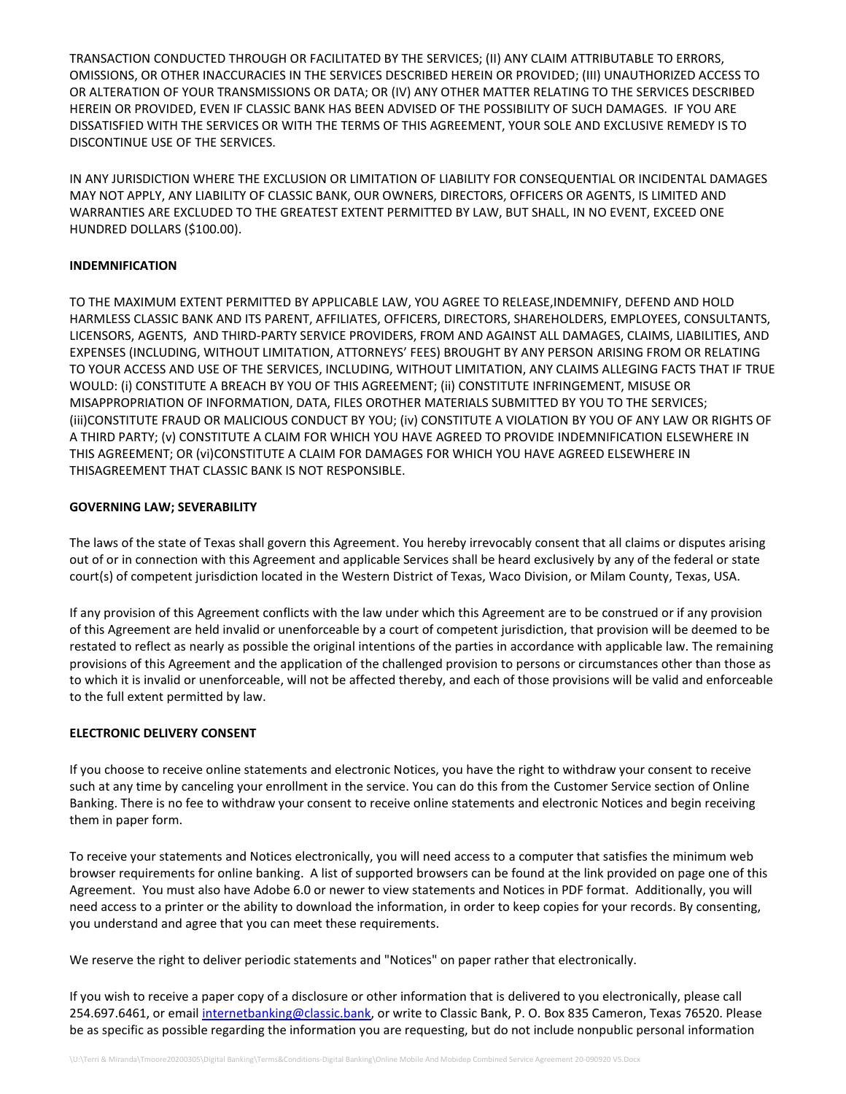TRANSACTION CONDUCTED THROUGH OR FACILITATED BY THE SERVICES; (II) ANY CLAIM ATTRIBUTABLE TO ERRORS, OMISSIONS, OR OTHER INACCURACIES IN THE SERVICES DESCRIBED HEREIN OR PROVIDED; (III) UNAUTHORIZED ACCESS TO OR ALTERATION OF YOUR TRANSMISSIONS OR DATA; OR (IV) ANY OTHER MATTER RELATING TO THE SERVICES DESCRIBED HEREIN OR PROVIDED, EVEN IF CLASSIC BANK HAS BEEN ADVISED OF THE POSSIBILITY OF SUCH DAMAGES. IF YOU ARE DISSATISFIED WITH THE SERVICES OR WITH THE TERMS OF THIS AGREEMENT, YOUR SOLE AND EXCLUSIVE REMEDY IS TO DISCONTINUE USE OF THE SERVICES.

IN ANY JURISDICTION WHERE THE EXCLUSION OR LIMITATION OF LIABILITY FOR CONSEQUENTIAL OR INCIDENTAL DAMAGES MAY NOT APPLY, ANY LIABILITY OF CLASSIC BANK, OUR OWNERS, DIRECTORS, OFFICERS OR AGENTS, IS LIMITED AND WARRANTIES ARE EXCLUDED TO THE GREATEST EXTENT PERMITTED BY LAW, BUT SHALL, IN NO EVENT, EXCEED ONE HUNDRED DOLLARS (\$100.00).

#### **INDEMNIFICATION**

TO THE MAXIMUM EXTENT PERMITTED BY APPLICABLE LAW, YOU AGREE TO RELEASE,INDEMNIFY, DEFEND AND HOLD HARMLESS CLASSIC BANK AND ITS PARENT, AFFILIATES, OFFICERS, DIRECTORS, SHAREHOLDERS, EMPLOYEES, CONSULTANTS, LICENSORS, AGENTS, AND THIRD-PARTY SERVICE PROVIDERS, FROM AND AGAINST ALL DAMAGES, CLAIMS, LIABILITIES, AND EXPENSES (INCLUDING, WITHOUT LIMITATION, ATTORNEYS' FEES) BROUGHT BY ANY PERSON ARISING FROM OR RELATING TO YOUR ACCESS AND USE OF THE SERVICES, INCLUDING, WITHOUT LIMITATION, ANY CLAIMS ALLEGING FACTS THAT IF TRUE WOULD: (i) CONSTITUTE A BREACH BY YOU OF THIS AGREEMENT; (ii) CONSTITUTE INFRINGEMENT, MISUSE OR MISAPPROPRIATION OF INFORMATION, DATA, FILES OROTHER MATERIALS SUBMITTED BY YOU TO THE SERVICES; (iii)CONSTITUTE FRAUD OR MALICIOUS CONDUCT BY YOU; (iv) CONSTITUTE A VIOLATION BY YOU OF ANY LAW OR RIGHTS OF A THIRD PARTY; (v) CONSTITUTE A CLAIM FOR WHICH YOU HAVE AGREED TO PROVIDE INDEMNIFICATION ELSEWHERE IN THIS AGREEMENT; OR (vi)CONSTITUTE A CLAIM FOR DAMAGES FOR WHICH YOU HAVE AGREED ELSEWHERE IN THISAGREEMENT THAT CLASSIC BANK IS NOT RESPONSIBLE.

#### **GOVERNING LAW; SEVERABILITY**

The laws of the state of Texas shall govern this Agreement. You hereby irrevocably consent that all claims or disputes arising out of or in connection with this Agreement and applicable Services shall be heard exclusively by any of the federal or state court(s) of competent jurisdiction located in the Western District of Texas, Waco Division, or Milam County, Texas, USA.

If any provision of this Agreement conflicts with the law under which this Agreement are to be construed or if any provision of this Agreement are held invalid or unenforceable by a court of competent jurisdiction, that provision will be deemed to be restated to reflect as nearly as possible the original intentions of the parties in accordance with applicable law. The remaining provisions of this Agreement and the application of the challenged provision to persons or circumstances other than those as to which it is invalid or unenforceable, will not be affected thereby, and each of those provisions will be valid and enforceable to the full extent permitted by law.

#### **ELECTRONIC DELIVERY CONSENT**

If you choose to receive online statements and electronic Notices, you have the right to withdraw your consent to receive such at any time by canceling your enrollment in the service. You can do this from the Customer Service section of Online Banking. There is no fee to withdraw your consent to receive online statements and electronic Notices and begin receiving them in paper form.

To receive your statements and Notices electronically, you will need access to a computer that satisfies the minimum web browser requirements for online banking. A list of supported browsers can be found at the link provided on page one of this Agreement. You must also have Adobe 6.0 or newer to view statements and Notices in PDF format. Additionally, you will need access to a printer or the ability to download the information, in order to keep copies for your records. By consenting, you understand and agree that you can meet these requirements.

We reserve the right to deliver periodic statements and "Notices" on paper rather that electronically.

If you wish to receive a paper copy of a disclosure or other information that is delivered to you electronically, please call 254.697.6461, or emai[l internetbanking@classic.bank,](mailto:internetbanking@classic.bank) or write to Classic Bank, P. O. Box 835 Cameron, Texas 76520. Please be as specific as possible regarding the information you are requesting, but do not include nonpublic personal information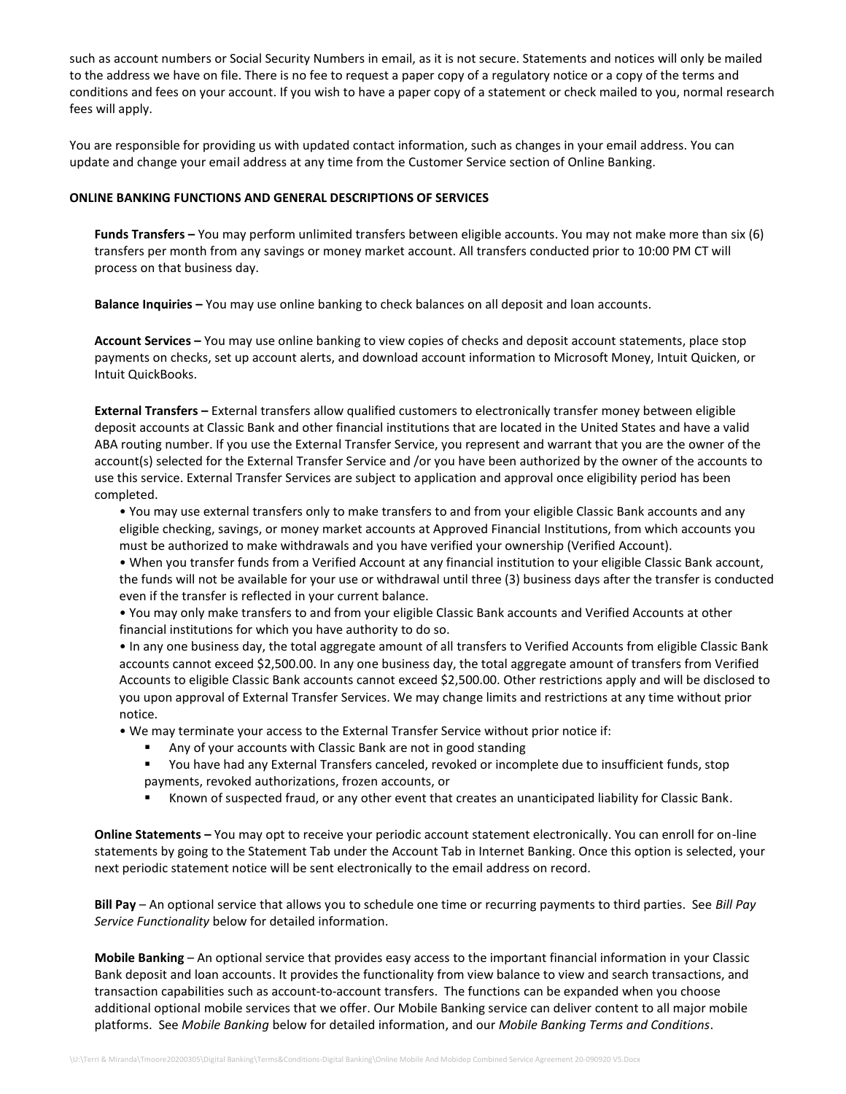such as account numbers or Social Security Numbers in email, as it is not secure. Statements and notices will only be mailed to the address we have on file. There is no fee to request a paper copy of a regulatory notice or a copy of the terms and conditions and fees on your account. If you wish to have a paper copy of a statement or check mailed to you, normal research fees will apply.

You are responsible for providing us with updated contact information, such as changes in your email address. You can update and change your email address at any time from the Customer Service section of Online Banking.

#### **ONLINE BANKING FUNCTIONS AND GENERAL DESCRIPTIONS OF SERVICES**

**Funds Transfers –** You may perform unlimited transfers between eligible accounts. You may not make more than six (6) transfers per month from any savings or money market account. All transfers conducted prior to 10:00 PM CT will process on that business day.

**Balance Inquiries –** You may use online banking to check balances on all deposit and loan accounts.

**Account Services –** You may use online banking to view copies of checks and deposit account statements, place stop payments on checks, set up account alerts, and download account information to Microsoft Money, Intuit Quicken, or Intuit QuickBooks.

**External Transfers –** External transfers allow qualified customers to electronically transfer money between eligible deposit accounts at Classic Bank and other financial institutions that are located in the United States and have a valid ABA routing number. If you use the External Transfer Service, you represent and warrant that you are the owner of the account(s) selected for the External Transfer Service and /or you have been authorized by the owner of the accounts to use this service. External Transfer Services are subject to application and approval once eligibility period has been completed.

• You may use external transfers only to make transfers to and from your eligible Classic Bank accounts and any eligible checking, savings, or money market accounts at Approved Financial Institutions, from which accounts you must be authorized to make withdrawals and you have verified your ownership (Verified Account).

• When you transfer funds from a Verified Account at any financial institution to your eligible Classic Bank account, the funds will not be available for your use or withdrawal until three (3) business days after the transfer is conducted even if the transfer is reflected in your current balance.

• You may only make transfers to and from your eligible Classic Bank accounts and Verified Accounts at other financial institutions for which you have authority to do so.

• In any one business day, the total aggregate amount of all transfers to Verified Accounts from eligible Classic Bank accounts cannot exceed \$2,500.00. In any one business day, the total aggregate amount of transfers from Verified Accounts to eligible Classic Bank accounts cannot exceed \$2,500.00. Other restrictions apply and will be disclosed to you upon approval of External Transfer Services. We may change limits and restrictions at any time without prior notice.

• We may terminate your access to the External Transfer Service without prior notice if:

- Any of your accounts with Classic Bank are not in good standing
- You have had any External Transfers canceled, revoked or incomplete due to insufficient funds, stop payments, revoked authorizations, frozen accounts, or
- Known of suspected fraud, or any other event that creates an unanticipated liability for Classic Bank.

**Online Statements –** You may opt to receive your periodic account statement electronically. You can enroll for on-line statements by going to the Statement Tab under the Account Tab in Internet Banking. Once this option is selected, your next periodic statement notice will be sent electronically to the email address on record.

**Bill Pay** – An optional service that allows you to schedule one time or recurring payments to third parties. See *Bill Pay Service Functionality* below for detailed information.

**Mobile Banking** – An optional service that provides easy access to the important financial information in your Classic Bank deposit and loan accounts. It provides the functionality from view balance to view and search transactions, and transaction capabilities such as account-to-account transfers. The functions can be expanded when you choose additional optional mobile services that we offer. Our Mobile Banking service can deliver content to all major mobile platforms. See *Mobile Banking* below for detailed information, and our *Mobile Banking Terms and Conditions*.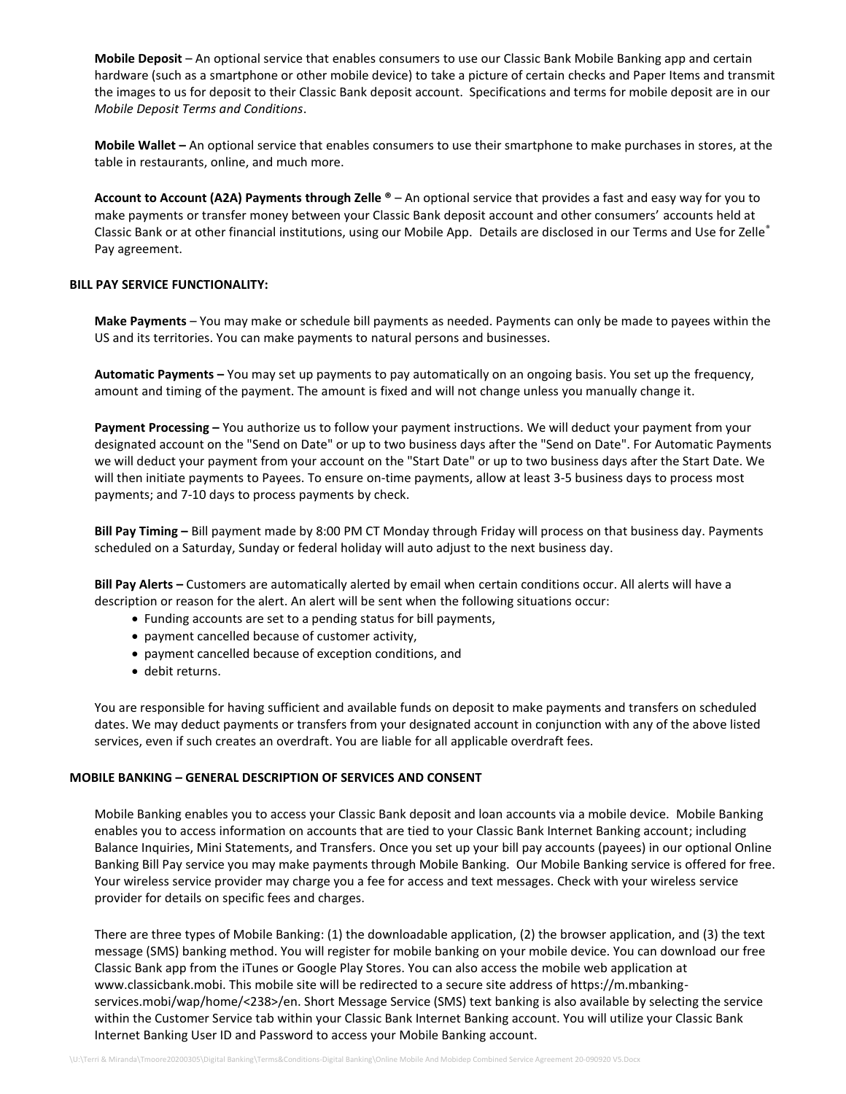**Mobile Deposit** – An optional service that enables consumers to use our Classic Bank Mobile Banking app and certain hardware (such as a smartphone or other mobile device) to take a picture of certain checks and Paper Items and transmit the images to us for deposit to their Classic Bank deposit account. Specifications and terms for mobile deposit are in our *Mobile Deposit Terms and Conditions*.

**Mobile Wallet –** An optional service that enables consumers to use their smartphone to make purchases in stores, at the table in restaurants, online, and much more.

**Account to Account (A2A) Payments through Zelle ®** – An optional service that provides a fast and easy way for you to make payments or transfer money between your Classic Bank deposit account and other consumers' accounts held at Classic Bank or at other financial institutions, using our Mobile App. Details are disclosed in our Terms and Use for Zelle® Pay agreement.

#### **BILL PAY SERVICE FUNCTIONALITY:**

**Make Payments** – You may make or schedule bill payments as needed. Payments can only be made to payees within the US and its territories. You can make payments to natural persons and businesses.

**Automatic Payments –** You may set up payments to pay automatically on an ongoing basis. You set up the frequency, amount and timing of the payment. The amount is fixed and will not change unless you manually change it.

**Payment Processing –** You authorize us to follow your payment instructions. We will deduct your payment from your designated account on the "Send on Date" or up to two business days after the "Send on Date". For Automatic Payments we will deduct your payment from your account on the "Start Date" or up to two business days after the Start Date. We will then initiate payments to Payees. To ensure on-time payments, allow at least 3-5 business days to process most payments; and 7-10 days to process payments by check.

**Bill Pay Timing –** Bill payment made by 8:00 PM CT Monday through Friday will process on that business day. Payments scheduled on a Saturday, Sunday or federal holiday will auto adjust to the next business day.

**Bill Pay Alerts –** Customers are automatically alerted by email when certain conditions occur. All alerts will have a description or reason for the alert. An alert will be sent when the following situations occur:

- Funding accounts are set to a pending status for bill payments,
- payment cancelled because of customer activity,
- payment cancelled because of exception conditions, and
- debit returns.

You are responsible for having sufficient and available funds on deposit to make payments and transfers on scheduled dates. We may deduct payments or transfers from your designated account in conjunction with any of the above listed services, even if such creates an overdraft. You are liable for all applicable overdraft fees.

#### **MOBILE BANKING – GENERAL DESCRIPTION OF SERVICES AND CONSENT**

Mobile Banking enables you to access your Classic Bank deposit and loan accounts via a mobile device. Mobile Banking enables you to access information on accounts that are tied to your Classic Bank Internet Banking account; including Balance Inquiries, Mini Statements, and Transfers. Once you set up your bill pay accounts (payees) in our optional Online Banking Bill Pay service you may make payments through Mobile Banking. Our Mobile Banking service is offered for free. Your wireless service provider may charge you a fee for access and text messages. Check with your wireless service provider for details on specific fees and charges.

There are three types of Mobile Banking: (1) the downloadable application, (2) the browser application, and (3) the text message (SMS) banking method. You will register for mobile banking on your mobile device. You can download our free Classic Bank app from the iTunes or Google Play Stores. You can also access the mobile web application at www.classicbank.mobi. This mobile site will be redirected to a secure site address of https://m.mbankingservices.mobi/wap/home/<238>/en. Short Message Service (SMS) text banking is also available by selecting the service within the Customer Service tab within your Classic Bank Internet Banking account. You will utilize your Classic Bank Internet Banking User ID and Password to access your Mobile Banking account.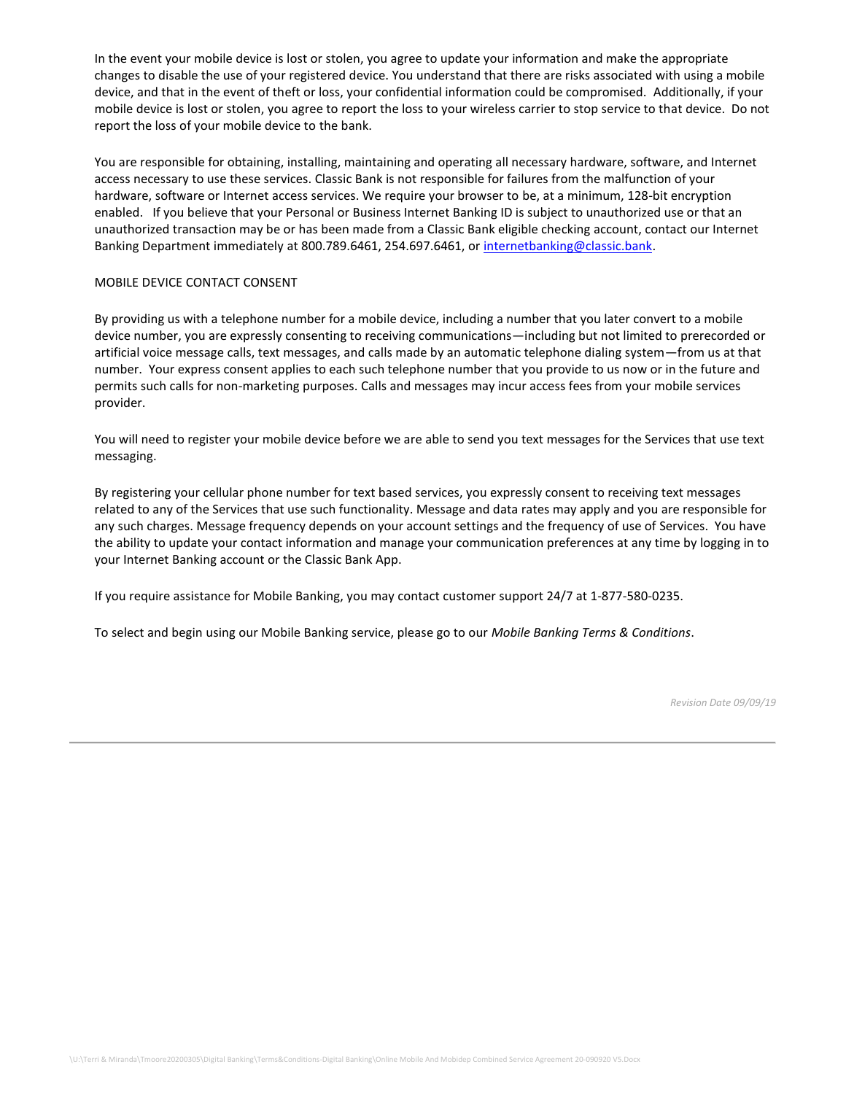In the event your mobile device is lost or stolen, you agree to update your information and make the appropriate changes to disable the use of your registered device. You understand that there are risks associated with using a mobile device, and that in the event of theft or loss, your confidential information could be compromised. Additionally, if your mobile device is lost or stolen, you agree to report the loss to your wireless carrier to stop service to that device. Do not report the loss of your mobile device to the bank.

You are responsible for obtaining, installing, maintaining and operating all necessary hardware, software, and Internet access necessary to use these services. Classic Bank is not responsible for failures from the malfunction of your hardware, software or Internet access services. We require your browser to be, at a minimum, 128-bit encryption enabled. If you believe that your Personal or Business Internet Banking ID is subject to unauthorized use or that an unauthorized transaction may be or has been made from a Classic Bank eligible checking account, contact our Internet Banking Department immediately at 800.789.6461, 254.697.6461, or [internetbanking@classic.bank.](mailto:internetbanking@classic.bank)

#### MOBILE DEVICE CONTACT CONSENT

By providing us with a telephone number for a mobile device, including a number that you later convert to a mobile device number, you are expressly consenting to receiving communications—including but not limited to prerecorded or artificial voice message calls, text messages, and calls made by an automatic telephone dialing system—from us at that number. Your express consent applies to each such telephone number that you provide to us now or in the future and permits such calls for non-marketing purposes. Calls and messages may incur access fees from your mobile services provider.

You will need to register your mobile device before we are able to send you text messages for the Services that use text messaging.

By registering your cellular phone number for text based services, you expressly consent to receiving text messages related to any of the Services that use such functionality. Message and data rates may apply and you are responsible for any such charges. Message frequency depends on your account settings and the frequency of use of Services. You have the ability to update your contact information and manage your communication preferences at any time by logging in to your Internet Banking account or the Classic Bank App.

If you require assistance for Mobile Banking, you may contact customer support 24/7 at 1-877-580-0235.

To select and begin using our Mobile Banking service, please go to our *Mobile Banking Terms & Conditions*.

*Revision Date 09/09/19*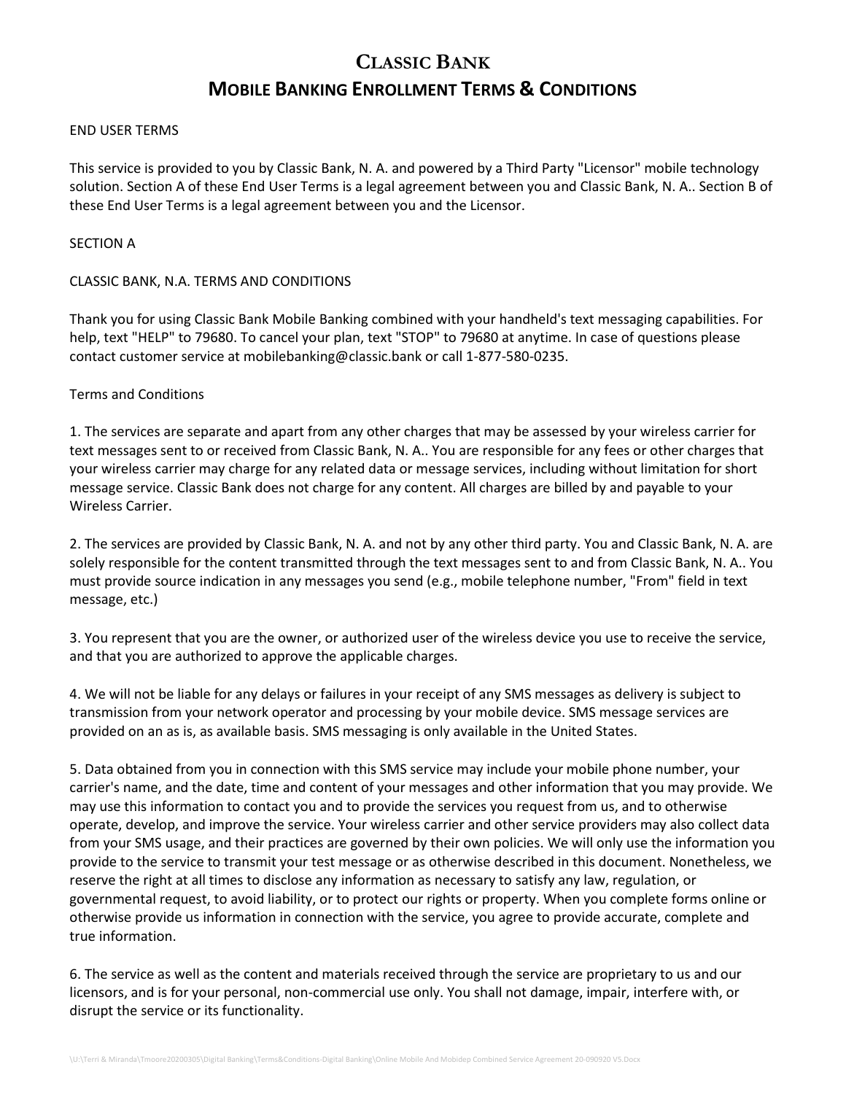# **CLASSIC BANK MOBILE BANKING ENROLLMENT TERMS & CONDITIONS**

#### END USER TERMS

This service is provided to you by Classic Bank, N. A. and powered by a Third Party "Licensor" mobile technology solution. Section A of these End User Terms is a legal agreement between you and Classic Bank, N. A.. Section B of these End User Terms is a legal agreement between you and the Licensor.

#### SECTION A

#### CLASSIC BANK, N.A. TERMS AND CONDITIONS

Thank you for using Classic Bank Mobile Banking combined with your handheld's text messaging capabilities. For help, text "HELP" to 79680. To cancel your plan, text "STOP" to 79680 at anytime. In case of questions please contact customer service at mobilebanking@classic.bank or call 1-877-580-0235.

#### Terms and Conditions

1. The services are separate and apart from any other charges that may be assessed by your wireless carrier for text messages sent to or received from Classic Bank, N. A.. You are responsible for any fees or other charges that your wireless carrier may charge for any related data or message services, including without limitation for short message service. Classic Bank does not charge for any content. All charges are billed by and payable to your Wireless Carrier.

2. The services are provided by Classic Bank, N. A. and not by any other third party. You and Classic Bank, N. A. are solely responsible for the content transmitted through the text messages sent to and from Classic Bank, N. A.. You must provide source indication in any messages you send (e.g., mobile telephone number, "From" field in text message, etc.)

3. You represent that you are the owner, or authorized user of the wireless device you use to receive the service, and that you are authorized to approve the applicable charges.

4. We will not be liable for any delays or failures in your receipt of any SMS messages as delivery is subject to transmission from your network operator and processing by your mobile device. SMS message services are provided on an as is, as available basis. SMS messaging is only available in the United States.

5. Data obtained from you in connection with this SMS service may include your mobile phone number, your carrier's name, and the date, time and content of your messages and other information that you may provide. We may use this information to contact you and to provide the services you request from us, and to otherwise operate, develop, and improve the service. Your wireless carrier and other service providers may also collect data from your SMS usage, and their practices are governed by their own policies. We will only use the information you provide to the service to transmit your test message or as otherwise described in this document. Nonetheless, we reserve the right at all times to disclose any information as necessary to satisfy any law, regulation, or governmental request, to avoid liability, or to protect our rights or property. When you complete forms online or otherwise provide us information in connection with the service, you agree to provide accurate, complete and true information.

6. The service as well as the content and materials received through the service are proprietary to us and our licensors, and is for your personal, non-commercial use only. You shall not damage, impair, interfere with, or disrupt the service or its functionality.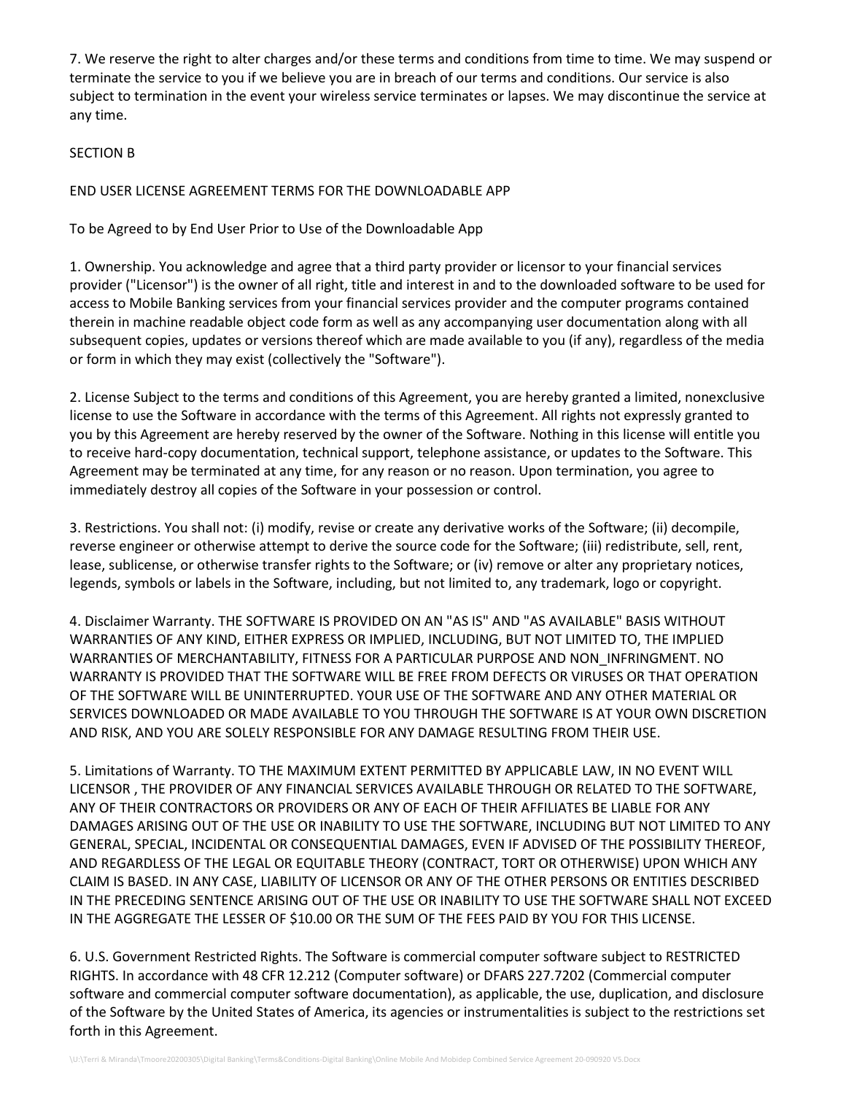7. We reserve the right to alter charges and/or these terms and conditions from time to time. We may suspend or terminate the service to you if we believe you are in breach of our terms and conditions. Our service is also subject to termination in the event your wireless service terminates or lapses. We may discontinue the service at any time.

### SECTION B

END USER LICENSE AGREEMENT TERMS FOR THE DOWNLOADABLE APP

To be Agreed to by End User Prior to Use of the Downloadable App

1. Ownership. You acknowledge and agree that a third party provider or licensor to your financial services provider ("Licensor") is the owner of all right, title and interest in and to the downloaded software to be used for access to Mobile Banking services from your financial services provider and the computer programs contained therein in machine readable object code form as well as any accompanying user documentation along with all subsequent copies, updates or versions thereof which are made available to you (if any), regardless of the media or form in which they may exist (collectively the "Software").

2. License Subject to the terms and conditions of this Agreement, you are hereby granted a limited, nonexclusive license to use the Software in accordance with the terms of this Agreement. All rights not expressly granted to you by this Agreement are hereby reserved by the owner of the Software. Nothing in this license will entitle you to receive hard-copy documentation, technical support, telephone assistance, or updates to the Software. This Agreement may be terminated at any time, for any reason or no reason. Upon termination, you agree to immediately destroy all copies of the Software in your possession or control.

3. Restrictions. You shall not: (i) modify, revise or create any derivative works of the Software; (ii) decompile, reverse engineer or otherwise attempt to derive the source code for the Software; (iii) redistribute, sell, rent, lease, sublicense, or otherwise transfer rights to the Software; or (iv) remove or alter any proprietary notices, legends, symbols or labels in the Software, including, but not limited to, any trademark, logo or copyright.

4. Disclaimer Warranty. THE SOFTWARE IS PROVIDED ON AN "AS IS" AND "AS AVAILABLE" BASIS WITHOUT WARRANTIES OF ANY KIND, EITHER EXPRESS OR IMPLIED, INCLUDING, BUT NOT LIMITED TO, THE IMPLIED WARRANTIES OF MERCHANTABILITY, FITNESS FOR A PARTICULAR PURPOSE AND NON\_INFRINGMENT. NO WARRANTY IS PROVIDED THAT THE SOFTWARE WILL BE FREE FROM DEFECTS OR VIRUSES OR THAT OPERATION OF THE SOFTWARE WILL BE UNINTERRUPTED. YOUR USE OF THE SOFTWARE AND ANY OTHER MATERIAL OR SERVICES DOWNLOADED OR MADE AVAILABLE TO YOU THROUGH THE SOFTWARE IS AT YOUR OWN DISCRETION AND RISK, AND YOU ARE SOLELY RESPONSIBLE FOR ANY DAMAGE RESULTING FROM THEIR USE.

5. Limitations of Warranty. TO THE MAXIMUM EXTENT PERMITTED BY APPLICABLE LAW, IN NO EVENT WILL LICENSOR , THE PROVIDER OF ANY FINANCIAL SERVICES AVAILABLE THROUGH OR RELATED TO THE SOFTWARE, ANY OF THEIR CONTRACTORS OR PROVIDERS OR ANY OF EACH OF THEIR AFFILIATES BE LIABLE FOR ANY DAMAGES ARISING OUT OF THE USE OR INABILITY TO USE THE SOFTWARE, INCLUDING BUT NOT LIMITED TO ANY GENERAL, SPECIAL, INCIDENTAL OR CONSEQUENTIAL DAMAGES, EVEN IF ADVISED OF THE POSSIBILITY THEREOF, AND REGARDLESS OF THE LEGAL OR EQUITABLE THEORY (CONTRACT, TORT OR OTHERWISE) UPON WHICH ANY CLAIM IS BASED. IN ANY CASE, LIABILITY OF LICENSOR OR ANY OF THE OTHER PERSONS OR ENTITIES DESCRIBED IN THE PRECEDING SENTENCE ARISING OUT OF THE USE OR INABILITY TO USE THE SOFTWARE SHALL NOT EXCEED IN THE AGGREGATE THE LESSER OF \$10.00 OR THE SUM OF THE FEES PAID BY YOU FOR THIS LICENSE.

6. U.S. Government Restricted Rights. The Software is commercial computer software subject to RESTRICTED RIGHTS. In accordance with 48 CFR 12.212 (Computer software) or DFARS 227.7202 (Commercial computer software and commercial computer software documentation), as applicable, the use, duplication, and disclosure of the Software by the United States of America, its agencies or instrumentalities is subject to the restrictions set forth in this Agreement.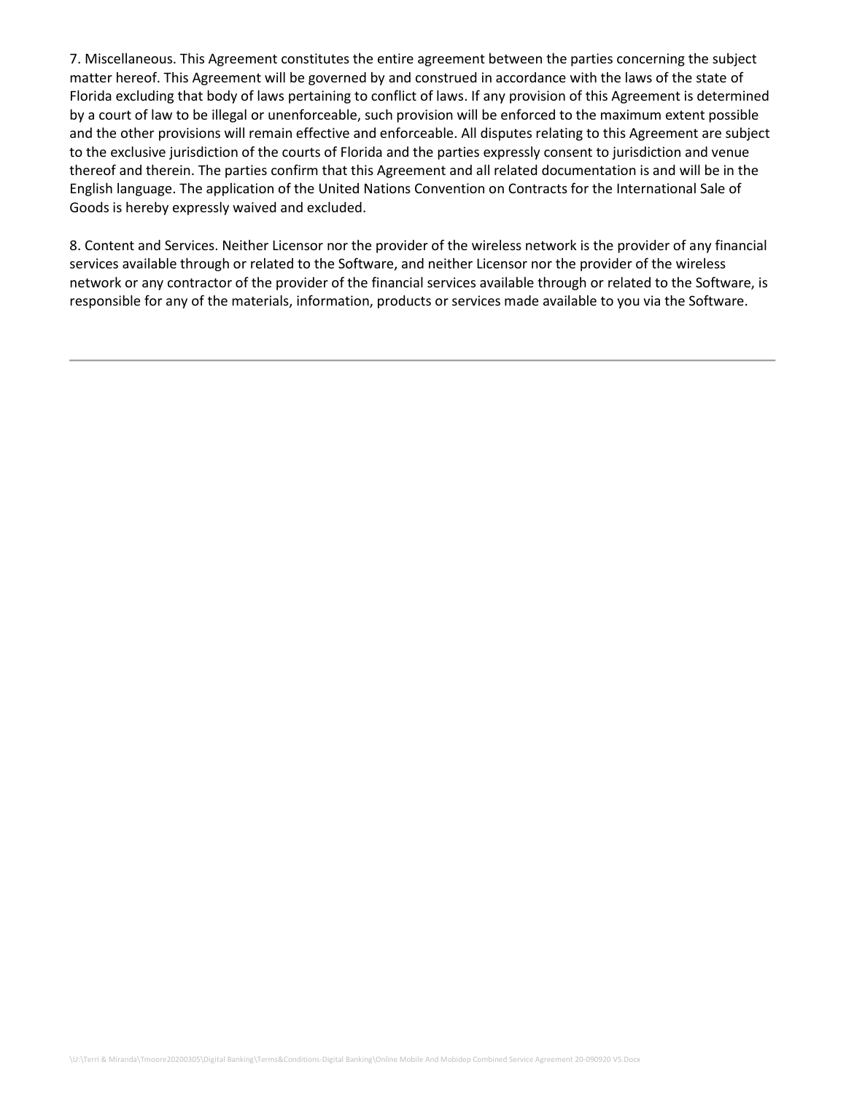7. Miscellaneous. This Agreement constitutes the entire agreement between the parties concerning the subject matter hereof. This Agreement will be governed by and construed in accordance with the laws of the state of Florida excluding that body of laws pertaining to conflict of laws. If any provision of this Agreement is determined by a court of law to be illegal or unenforceable, such provision will be enforced to the maximum extent possible and the other provisions will remain effective and enforceable. All disputes relating to this Agreement are subject to the exclusive jurisdiction of the courts of Florida and the parties expressly consent to jurisdiction and venue thereof and therein. The parties confirm that this Agreement and all related documentation is and will be in the English language. The application of the United Nations Convention on Contracts for the International Sale of Goods is hereby expressly waived and excluded.

8. Content and Services. Neither Licensor nor the provider of the wireless network is the provider of any financial services available through or related to the Software, and neither Licensor nor the provider of the wireless network or any contractor of the provider of the financial services available through or related to the Software, is responsible for any of the materials, information, products or services made available to you via the Software.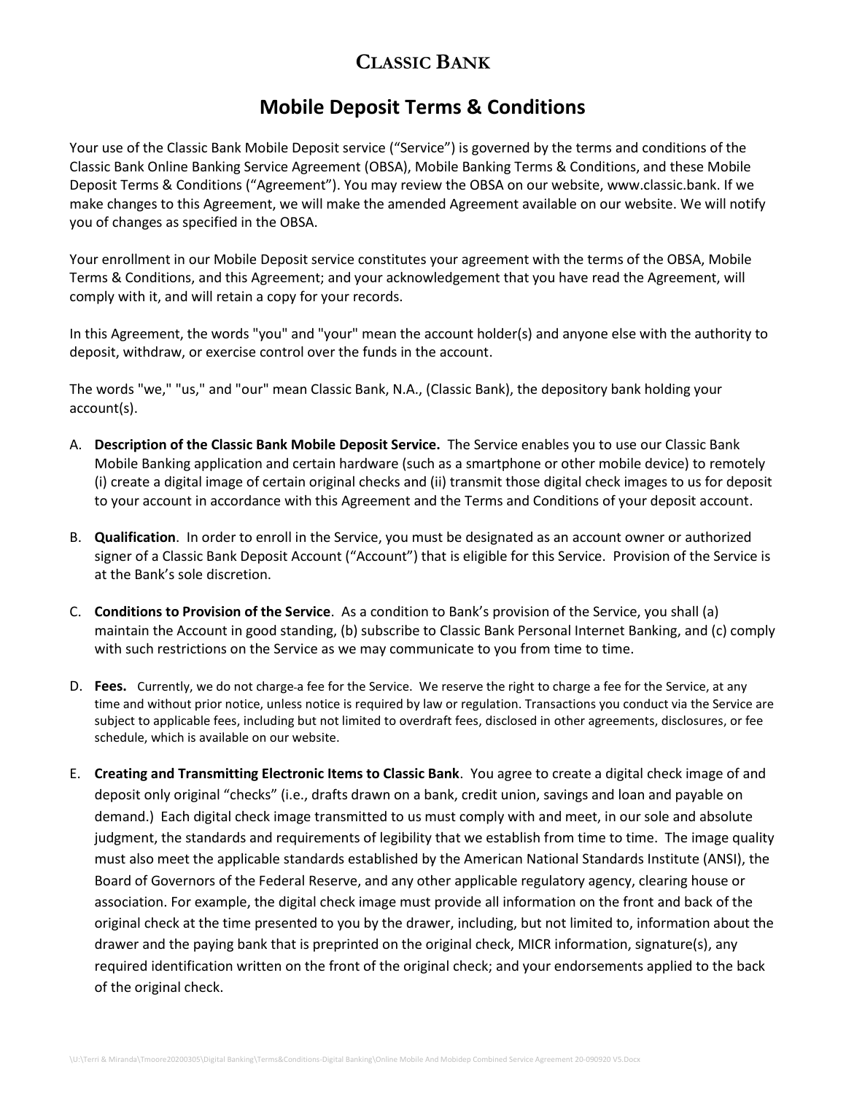## **CLASSIC BANK**

## **Mobile Deposit Terms & Conditions**

Your use of the Classic Bank Mobile Deposit service ("Service") is governed by the terms and conditions of the Classic Bank Online Banking Service Agreement (OBSA), Mobile Banking Terms & Conditions, and these Mobile Deposit Terms & Conditions ("Agreement"). You may review the OBSA on our website, www.classic.bank. If we make changes to this Agreement, we will make the amended Agreement available on our website. We will notify you of changes as specified in the OBSA.

Your enrollment in our Mobile Deposit service constitutes your agreement with the terms of the OBSA, Mobile Terms & Conditions, and this Agreement; and your acknowledgement that you have read the Agreement, will comply with it, and will retain a copy for your records.

In this Agreement, the words "you" and "your" mean the account holder(s) and anyone else with the authority to deposit, withdraw, or exercise control over the funds in the account.

The words "we," "us," and "our" mean Classic Bank, N.A., (Classic Bank), the depository bank holding your account(s).

- A. **Description of the Classic Bank Mobile Deposit Service.** The Service enables you to use our Classic Bank Mobile Banking application and certain hardware (such as a smartphone or other mobile device) to remotely (i) create a digital image of certain original checks and (ii) transmit those digital check images to us for deposit to your account in accordance with this Agreement and the Terms and Conditions of your deposit account.
- B. **Qualification**. In order to enroll in the Service, you must be designated as an account owner or authorized signer of a Classic Bank Deposit Account ("Account") that is eligible for this Service. Provision of the Service is at the Bank's sole discretion.
- C. **Conditions to Provision of the Service**. As a condition to Bank's provision of the Service, you shall (a) maintain the Account in good standing, (b) subscribe to Classic Bank Personal Internet Banking, and (c) comply with such restrictions on the Service as we may communicate to you from time to time.
- D. Fees. Currently, we do not charge-a fee for the Service. We reserve the right to charge a fee for the Service, at any time and without prior notice, unless notice is required by law or regulation. Transactions you conduct via the Service are subject to applicable fees, including but not limited to overdraft fees, disclosed in other agreements, disclosures, or fee schedule, which is available on our website.
- E. **Creating and Transmitting Electronic Items to Classic Bank**. You agree to create a digital check image of and deposit only original "checks" (i.e., drafts drawn on a bank, credit union, savings and loan and payable on demand.) Each digital check image transmitted to us must comply with and meet, in our sole and absolute judgment, the standards and requirements of legibility that we establish from time to time. The image quality must also meet the applicable standards established by the American National Standards Institute (ANSI), the Board of Governors of the Federal Reserve, and any other applicable regulatory agency, clearing house or association. For example, the digital check image must provide all information on the front and back of the original check at the time presented to you by the drawer, including, but not limited to, information about the drawer and the paying bank that is preprinted on the original check, MICR information, signature(s), any required identification written on the front of the original check; and your endorsements applied to the back of the original check.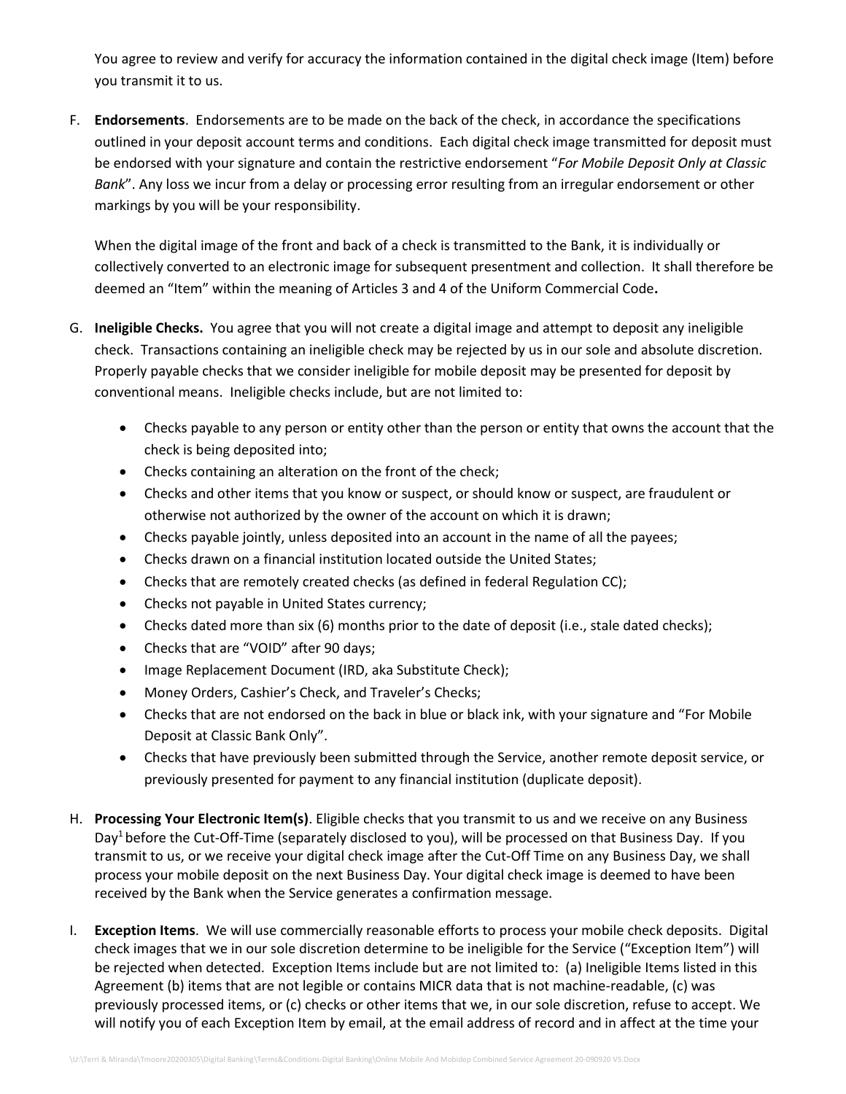You agree to review and verify for accuracy the information contained in the digital check image (Item) before you transmit it to us.

F. **Endorsements**. Endorsements are to be made on the back of the check, in accordance the specifications outlined in your deposit account terms and conditions. Each digital check image transmitted for deposit must be endorsed with your signature and contain the restrictive endorsement "*For Mobile Deposit Only at Classic Bank*". Any loss we incur from a delay or processing error resulting from an irregular endorsement or other markings by you will be your responsibility.

When the digital image of the front and back of a check is transmitted to the Bank, it is individually or collectively converted to an electronic image for subsequent presentment and collection. It shall therefore be deemed an "Item" within the meaning of Articles 3 and 4 of the Uniform Commercial Code**.** 

- G. **Ineligible Checks.** You agree that you will not create a digital image and attempt to deposit any ineligible check. Transactions containing an ineligible check may be rejected by us in our sole and absolute discretion. Properly payable checks that we consider ineligible for mobile deposit may be presented for deposit by conventional means. Ineligible checks include, but are not limited to:
	- Checks payable to any person or entity other than the person or entity that owns the account that the check is being deposited into;
	- Checks containing an alteration on the front of the check;
	- Checks and other items that you know or suspect, or should know or suspect, are fraudulent or otherwise not authorized by the owner of the account on which it is drawn;
	- Checks payable jointly, unless deposited into an account in the name of all the payees;
	- Checks drawn on a financial institution located outside the United States;
	- Checks that are remotely created checks (as defined in federal Regulation CC);
	- Checks not payable in United States currency;
	- Checks dated more than six  $(6)$  months prior to the date of deposit (i.e., stale dated checks);
	- Checks that are "VOID" after 90 days;
	- Image Replacement Document (IRD, aka Substitute Check);
	- Money Orders, Cashier's Check, and Traveler's Checks;
	- Checks that are not endorsed on the back in blue or black ink, with your signature and "For Mobile Deposit at Classic Bank Only".
	- Checks that have previously been submitted through the Service, another remote deposit service, or previously presented for payment to any financial institution (duplicate deposit).
- H. **Processing Your Electronic Item(s)**. Eligible checks that you transmit to us and we receive on any Business Day<sup>1</sup> before the Cut-Off-Time (separately disclosed to you), will be processed on that Business Day. If you transmit to us, or we receive your digital check image after the Cut-Off Time on any Business Day, we shall process your mobile deposit on the next Business Day. Your digital check image is deemed to have been received by the Bank when the Service generates a confirmation message.
- I. **Exception Items**. We will use commercially reasonable efforts to process your mobile check deposits. Digital check images that we in our sole discretion determine to be ineligible for the Service ("Exception Item") will be rejected when detected. Exception Items include but are not limited to: (a) Ineligible Items listed in this Agreement (b) items that are not legible or contains MICR data that is not machine-readable, (c) was previously processed items, or (c) checks or other items that we, in our sole discretion, refuse to accept. We will notify you of each Exception Item by email, at the email address of record and in affect at the time your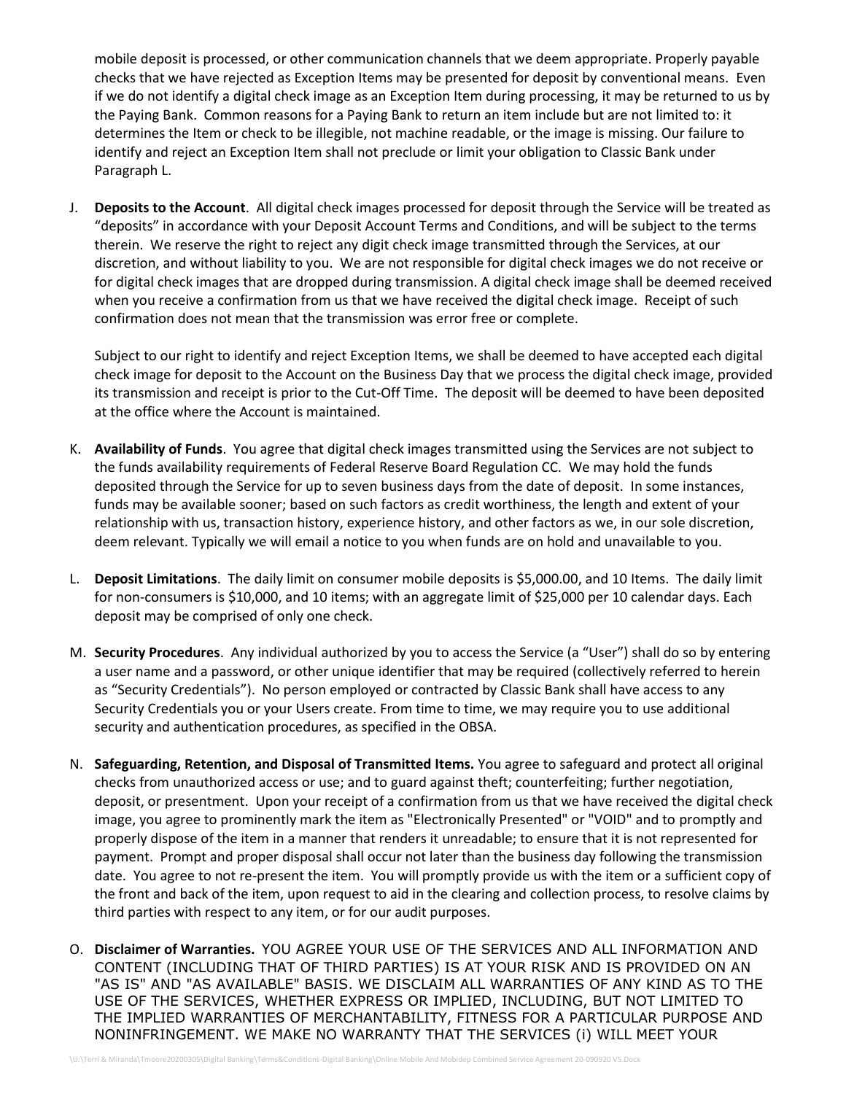mobile deposit is processed, or other communication channels that we deem appropriate. Properly payable checks that we have rejected as Exception Items may be presented for deposit by conventional means. Even if we do not identify a digital check image as an Exception Item during processing, it may be returned to us by the Paying Bank. Common reasons for a Paying Bank to return an item include but are not limited to: it determines the Item or check to be illegible, not machine readable, or the image is missing. Our failure to identify and reject an Exception Item shall not preclude or limit your obligation to Classic Bank under Paragraph L.

J. **Deposits to the Account**. All digital check images processed for deposit through the Service will be treated as "deposits" in accordance with your Deposit Account Terms and Conditions, and will be subject to the terms therein. We reserve the right to reject any digit check image transmitted through the Services, at our discretion, and without liability to you. We are not responsible for digital check images we do not receive or for digital check images that are dropped during transmission. A digital check image shall be deemed received when you receive a confirmation from us that we have received the digital check image. Receipt of such confirmation does not mean that the transmission was error free or complete.

Subject to our right to identify and reject Exception Items, we shall be deemed to have accepted each digital check image for deposit to the Account on the Business Day that we process the digital check image, provided its transmission and receipt is prior to the Cut-Off Time. The deposit will be deemed to have been deposited at the office where the Account is maintained.

- K. **Availability of Funds**. You agree that digital check images transmitted using the Services are not subject to the funds availability requirements of Federal Reserve Board Regulation CC. We may hold the funds deposited through the Service for up to seven business days from the date of deposit. In some instances, funds may be available sooner; based on such factors as credit worthiness, the length and extent of your relationship with us, transaction history, experience history, and other factors as we, in our sole discretion, deem relevant. Typically we will email a notice to you when funds are on hold and unavailable to you.
- L. **Deposit Limitations**. The daily limit on consumer mobile deposits is \$5,000.00, and 10 Items. The daily limit for non-consumers is \$10,000, and 10 items; with an aggregate limit of \$25,000 per 10 calendar days. Each deposit may be comprised of only one check.
- M. **Security Procedures**. Any individual authorized by you to access the Service (a "User") shall do so by entering a user name and a password, or other unique identifier that may be required (collectively referred to herein as "Security Credentials"). No person employed or contracted by Classic Bank shall have access to any Security Credentials you or your Users create. From time to time, we may require you to use additional security and authentication procedures, as specified in the OBSA.
- N. **Safeguarding, Retention, and Disposal of Transmitted Items.** You agree to safeguard and protect all original checks from unauthorized access or use; and to guard against theft; counterfeiting; further negotiation, deposit, or presentment. Upon your receipt of a confirmation from us that we have received the digital check image, you agree to prominently mark the item as "Electronically Presented" or "VOID" and to promptly and properly dispose of the item in a manner that renders it unreadable; to ensure that it is not represented for payment. Prompt and proper disposal shall occur not later than the business day following the transmission date. You agree to not re-present the item. You will promptly provide us with the item or a sufficient copy of the front and back of the item, upon request to aid in the clearing and collection process, to resolve claims by third parties with respect to any item, or for our audit purposes.
- O. **Disclaimer of Warranties.** YOU AGREE YOUR USE OF THE SERVICES AND ALL INFORMATION AND CONTENT (INCLUDING THAT OF THIRD PARTIES) IS AT YOUR RISK AND IS PROVIDED ON AN "AS IS" AND "AS AVAILABLE" BASIS. WE DISCLAIM ALL WARRANTIES OF ANY KIND AS TO THE USE OF THE SERVICES, WHETHER EXPRESS OR IMPLIED, INCLUDING, BUT NOT LIMITED TO THE IMPLIED WARRANTIES OF MERCHANTABILITY, FITNESS FOR A PARTICULAR PURPOSE AND NONINFRINGEMENT. WE MAKE NO WARRANTY THAT THE SERVICES (i) WILL MEET YOUR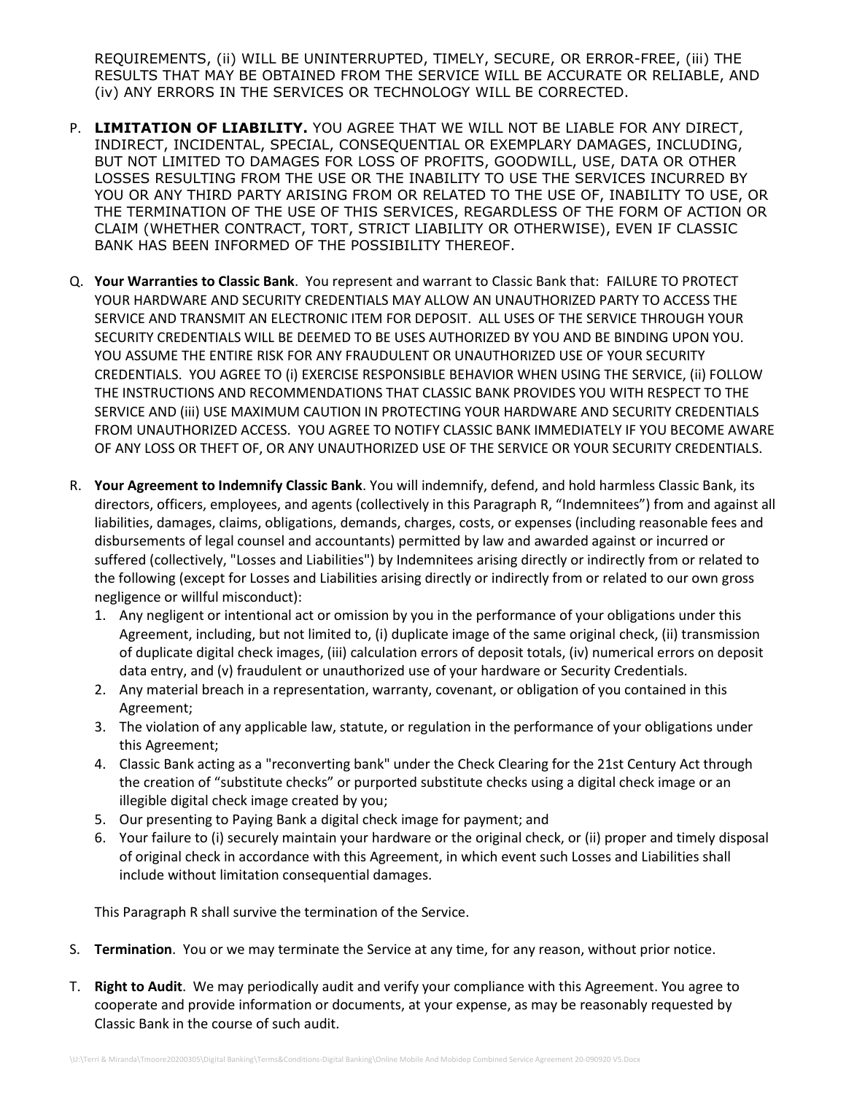REQUIREMENTS, (ii) WILL BE UNINTERRUPTED, TIMELY, SECURE, OR ERROR-FREE, (iii) THE RESULTS THAT MAY BE OBTAINED FROM THE SERVICE WILL BE ACCURATE OR RELIABLE, AND (iv) ANY ERRORS IN THE SERVICES OR TECHNOLOGY WILL BE CORRECTED.

- P. **LIMITATION OF LIABILITY.** YOU AGREE THAT WE WILL NOT BE LIABLE FOR ANY DIRECT, INDIRECT, INCIDENTAL, SPECIAL, CONSEQUENTIAL OR EXEMPLARY DAMAGES, INCLUDING, BUT NOT LIMITED TO DAMAGES FOR LOSS OF PROFITS, GOODWILL, USE, DATA OR OTHER LOSSES RESULTING FROM THE USE OR THE INABILITY TO USE THE SERVICES INCURRED BY YOU OR ANY THIRD PARTY ARISING FROM OR RELATED TO THE USE OF, INABILITY TO USE, OR THE TERMINATION OF THE USE OF THIS SERVICES, REGARDLESS OF THE FORM OF ACTION OR CLAIM (WHETHER CONTRACT, TORT, STRICT LIABILITY OR OTHERWISE), EVEN IF CLASSIC BANK HAS BEEN INFORMED OF THE POSSIBILITY THEREOF.
- Q. **Your Warranties to Classic Bank**. You represent and warrant to Classic Bank that: FAILURE TO PROTECT YOUR HARDWARE AND SECURITY CREDENTIALS MAY ALLOW AN UNAUTHORIZED PARTY TO ACCESS THE SERVICE AND TRANSMIT AN ELECTRONIC ITEM FOR DEPOSIT. ALL USES OF THE SERVICE THROUGH YOUR SECURITY CREDENTIALS WILL BE DEEMED TO BE USES AUTHORIZED BY YOU AND BE BINDING UPON YOU. YOU ASSUME THE ENTIRE RISK FOR ANY FRAUDULENT OR UNAUTHORIZED USE OF YOUR SECURITY CREDENTIALS. YOU AGREE TO (i) EXERCISE RESPONSIBLE BEHAVIOR WHEN USING THE SERVICE, (ii) FOLLOW THE INSTRUCTIONS AND RECOMMENDATIONS THAT CLASSIC BANK PROVIDES YOU WITH RESPECT TO THE SERVICE AND (iii) USE MAXIMUM CAUTION IN PROTECTING YOUR HARDWARE AND SECURITY CREDENTIALS FROM UNAUTHORIZED ACCESS. YOU AGREE TO NOTIFY CLASSIC BANK IMMEDIATELY IF YOU BECOME AWARE OF ANY LOSS OR THEFT OF, OR ANY UNAUTHORIZED USE OF THE SERVICE OR YOUR SECURITY CREDENTIALS.
- R. **Your Agreement to Indemnify Classic Bank**. You will indemnify, defend, and hold harmless Classic Bank, its directors, officers, employees, and agents (collectively in this Paragraph R, "Indemnitees") from and against all liabilities, damages, claims, obligations, demands, charges, costs, or expenses (including reasonable fees and disbursements of legal counsel and accountants) permitted by law and awarded against or incurred or suffered (collectively, "Losses and Liabilities") by Indemnitees arising directly or indirectly from or related to the following (except for Losses and Liabilities arising directly or indirectly from or related to our own gross negligence or willful misconduct):
	- 1. Any negligent or intentional act or omission by you in the performance of your obligations under this Agreement, including, but not limited to, (i) duplicate image of the same original check, (ii) transmission of duplicate digital check images, (iii) calculation errors of deposit totals, (iv) numerical errors on deposit data entry, and (v) fraudulent or unauthorized use of your hardware or Security Credentials.
	- 2. Any material breach in a representation, warranty, covenant, or obligation of you contained in this Agreement;
	- 3. The violation of any applicable law, statute, or regulation in the performance of your obligations under this Agreement;
	- 4. Classic Bank acting as a "reconverting bank" under the Check Clearing for the 21st Century Act through the creation of "substitute checks" or purported substitute checks using a digital check image or an illegible digital check image created by you;
	- 5. Our presenting to Paying Bank a digital check image for payment; and
	- 6. Your failure to (i) securely maintain your hardware or the original check, or (ii) proper and timely disposal of original check in accordance with this Agreement, in which event such Losses and Liabilities shall include without limitation consequential damages.

This Paragraph R shall survive the termination of the Service.

- S. **Termination**. You or we may terminate the Service at any time, for any reason, without prior notice.
- T. **Right to Audit**. We may periodically audit and verify your compliance with this Agreement. You agree to cooperate and provide information or documents, at your expense, as may be reasonably requested by Classic Bank in the course of such audit.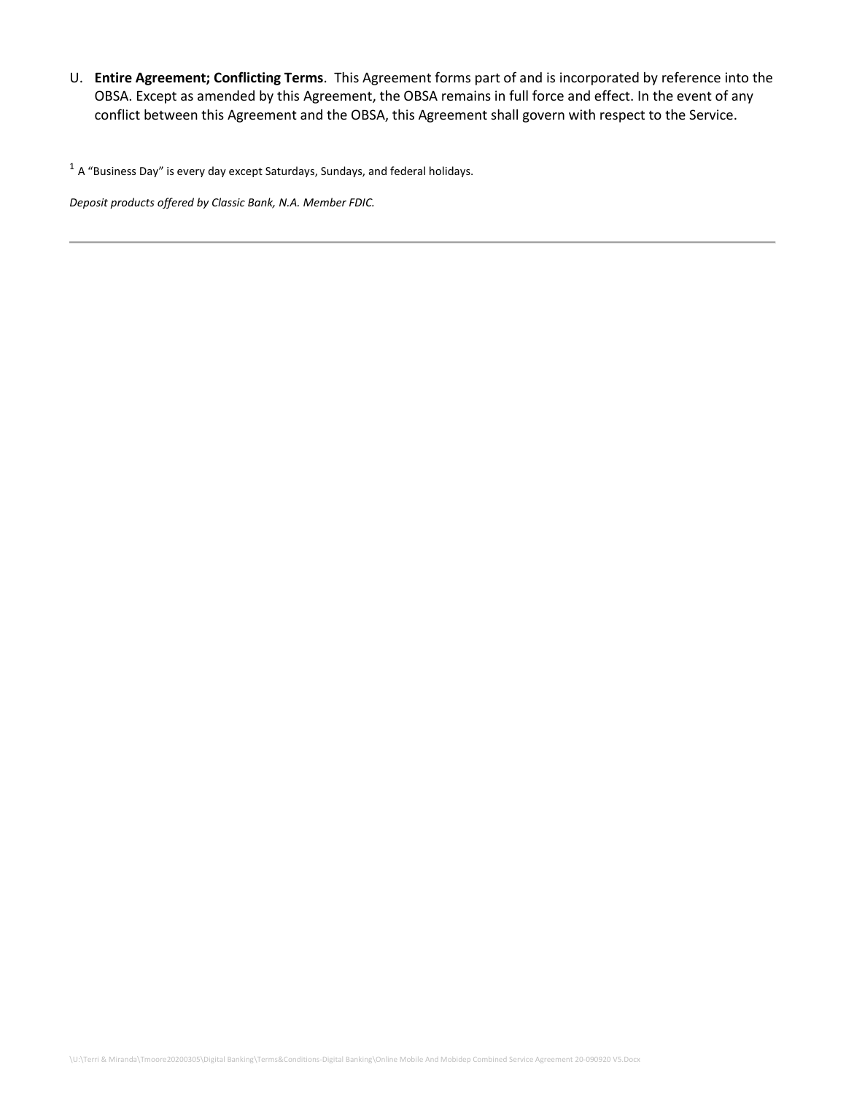U. **Entire Agreement; Conflicting Terms**. This Agreement forms part of and is incorporated by reference into the OBSA. Except as amended by this Agreement, the OBSA remains in full force and effect. In the event of any conflict between this Agreement and the OBSA, this Agreement shall govern with respect to the Service.

 $^1$  A "Business Day" is every day except Saturdays, Sundays, and federal holidays.

*Deposit products offered by Classic Bank, N.A. Member FDIC.*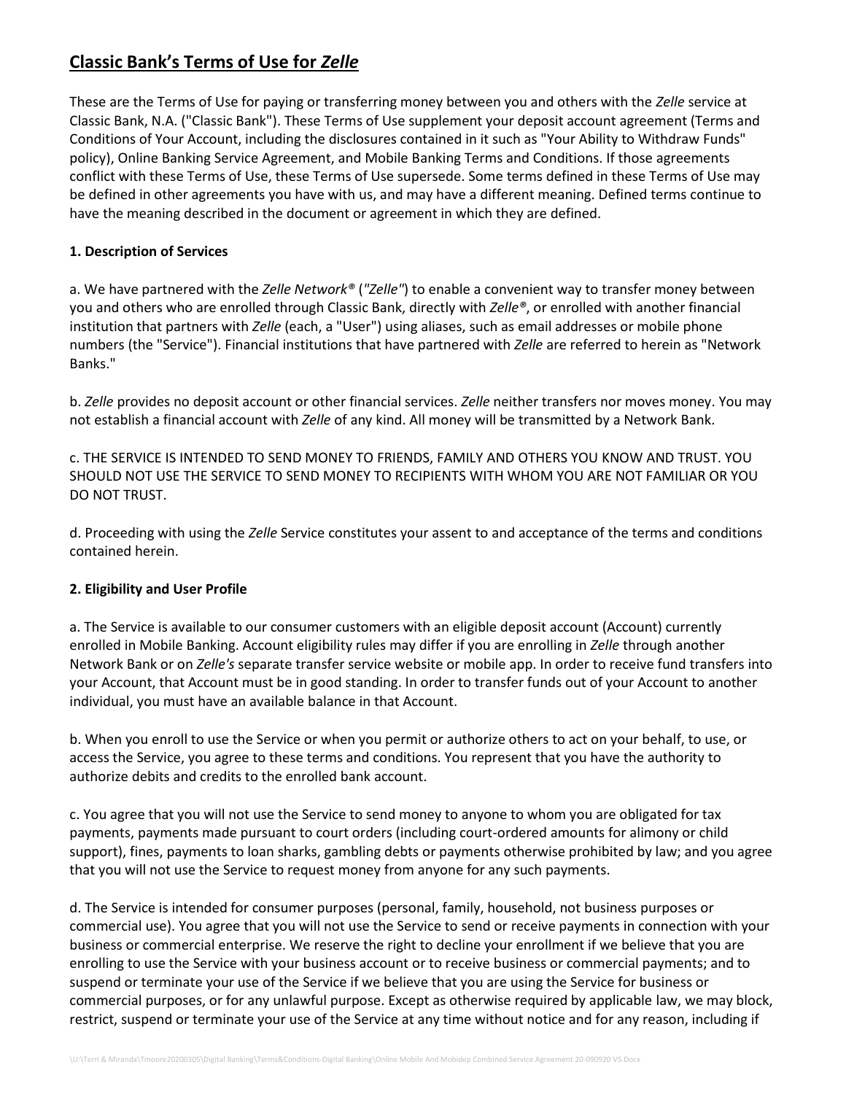## **Classic Bank's Terms of Use for** *Zelle*

These are the Terms of Use for paying or transferring money between you and others with the *Zelle* service at Classic Bank, N.A. ("Classic Bank"). These Terms of Use supplement your deposit account agreement (Terms and Conditions of Your Account, including the disclosures contained in it such as "Your Ability to Withdraw Funds" policy), Online Banking Service Agreement, and Mobile Banking Terms and Conditions. If those agreements conflict with these Terms of Use, these Terms of Use supersede. Some terms defined in these Terms of Use may be defined in other agreements you have with us, and may have a different meaning. Defined terms continue to have the meaning described in the document or agreement in which they are defined.

## **1. Description of Services**

a. We have partnered with the *Zelle Network®* (*"Zelle"*) to enable a convenient way to transfer money between you and others who are enrolled through Classic Bank, directly with *Zelle®*, or enrolled with another financial institution that partners with *Zelle* (each, a "User") using aliases, such as email addresses or mobile phone numbers (the "Service"). Financial institutions that have partnered with *Zelle* are referred to herein as "Network Banks."

b. *Zelle* provides no deposit account or other financial services. *Zelle* neither transfers nor moves money. You may not establish a financial account with *Zelle* of any kind. All money will be transmitted by a Network Bank.

c. THE SERVICE IS INTENDED TO SEND MONEY TO FRIENDS, FAMILY AND OTHERS YOU KNOW AND TRUST. YOU SHOULD NOT USE THE SERVICE TO SEND MONEY TO RECIPIENTS WITH WHOM YOU ARE NOT FAMILIAR OR YOU DO NOT TRUST.

d. Proceeding with using the *Zelle* Service constitutes your assent to and acceptance of the terms and conditions contained herein.

## **2. Eligibility and User Profile**

a. The Service is available to our consumer customers with an eligible deposit account (Account) currently enrolled in Mobile Banking. Account eligibility rules may differ if you are enrolling in *Zelle* through another Network Bank or on *Zelle's* separate transfer service website or mobile app. In order to receive fund transfers into your Account, that Account must be in good standing. In order to transfer funds out of your Account to another individual, you must have an available balance in that Account.

b. When you enroll to use the Service or when you permit or authorize others to act on your behalf, to use, or access the Service, you agree to these terms and conditions. You represent that you have the authority to authorize debits and credits to the enrolled bank account.

c. You agree that you will not use the Service to send money to anyone to whom you are obligated for tax payments, payments made pursuant to court orders (including court-ordered amounts for alimony or child support), fines, payments to loan sharks, gambling debts or payments otherwise prohibited by law; and you agree that you will not use the Service to request money from anyone for any such payments.

d. The Service is intended for consumer purposes (personal, family, household, not business purposes or commercial use). You agree that you will not use the Service to send or receive payments in connection with your business or commercial enterprise. We reserve the right to decline your enrollment if we believe that you are enrolling to use the Service with your business account or to receive business or commercial payments; and to suspend or terminate your use of the Service if we believe that you are using the Service for business or commercial purposes, or for any unlawful purpose. Except as otherwise required by applicable law, we may block, restrict, suspend or terminate your use of the Service at any time without notice and for any reason, including if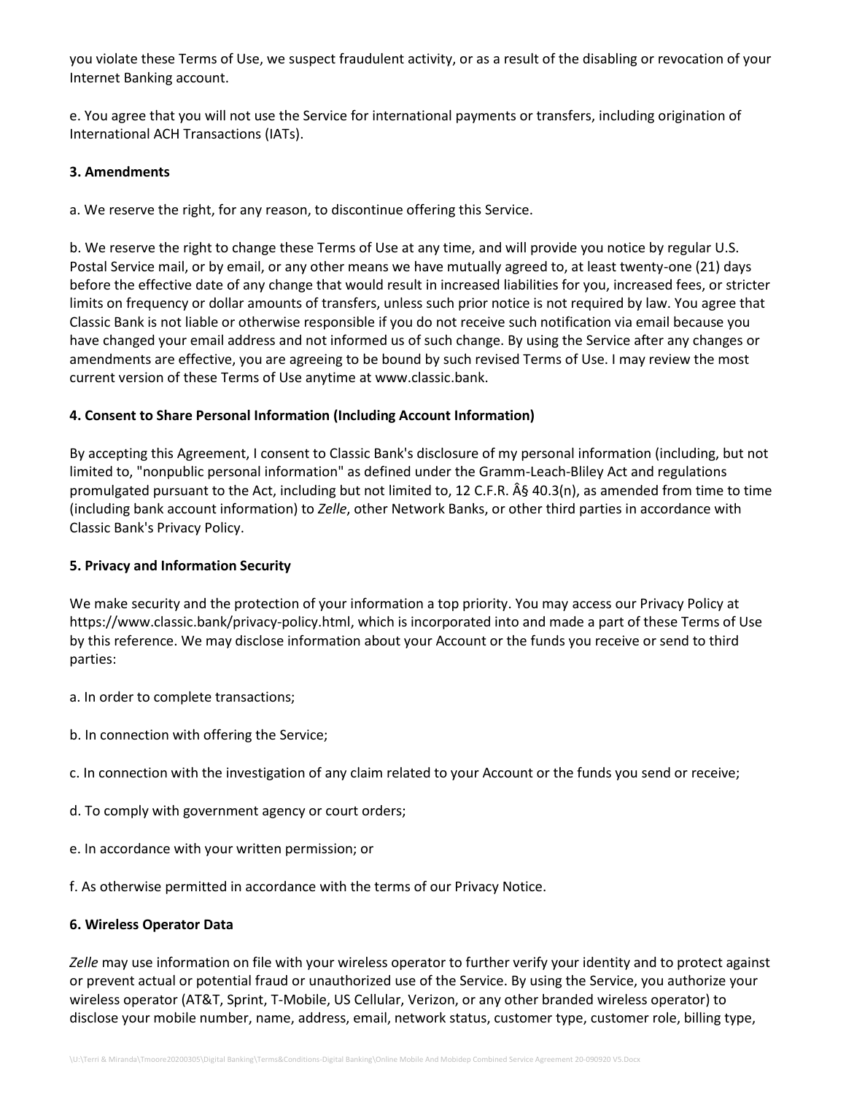you violate these Terms of Use, we suspect fraudulent activity, or as a result of the disabling or revocation of your Internet Banking account.

e. You agree that you will not use the Service for international payments or transfers, including origination of International ACH Transactions (IATs).

## **3. Amendments**

a. We reserve the right, for any reason, to discontinue offering this Service.

b. We reserve the right to change these Terms of Use at any time, and will provide you notice by regular U.S. Postal Service mail, or by email, or any other means we have mutually agreed to, at least twenty-one (21) days before the effective date of any change that would result in increased liabilities for you, increased fees, or stricter limits on frequency or dollar amounts of transfers, unless such prior notice is not required by law. You agree that Classic Bank is not liable or otherwise responsible if you do not receive such notification via email because you have changed your email address and not informed us of such change. By using the Service after any changes or amendments are effective, you are agreeing to be bound by such revised Terms of Use. I may review the most current version of these Terms of Use anytime at www.classic.bank.

## **4. Consent to Share Personal Information (Including Account Information)**

By accepting this Agreement, I consent to Classic Bank's disclosure of my personal information (including, but not limited to, "nonpublic personal information" as defined under the Gramm-Leach-Bliley Act and regulations promulgated pursuant to the Act, including but not limited to, 12 C.F.R. § 40.3(n), as amended from time to time (including bank account information) to *Zelle*, other Network Banks, or other third parties in accordance with Classic Bank's Privacy Policy.

### **5. Privacy and Information Security**

We make security and the protection of your information a top priority. You may access our Privacy Policy at https://www.classic.bank/privacy-policy.html, which is incorporated into and made a part of these Terms of Use by this reference. We may disclose information about your Account or the funds you receive or send to third parties:

- a. In order to complete transactions;
- b. In connection with offering the Service;
- c. In connection with the investigation of any claim related to your Account or the funds you send or receive;
- d. To comply with government agency or court orders;
- e. In accordance with your written permission; or
- f. As otherwise permitted in accordance with the terms of our Privacy Notice.

### **6. Wireless Operator Data**

*Zelle* may use information on file with your wireless operator to further verify your identity and to protect against or prevent actual or potential fraud or unauthorized use of the Service. By using the Service, you authorize your wireless operator (AT&T, Sprint, T-Mobile, US Cellular, Verizon, or any other branded wireless operator) to disclose your mobile number, name, address, email, network status, customer type, customer role, billing type,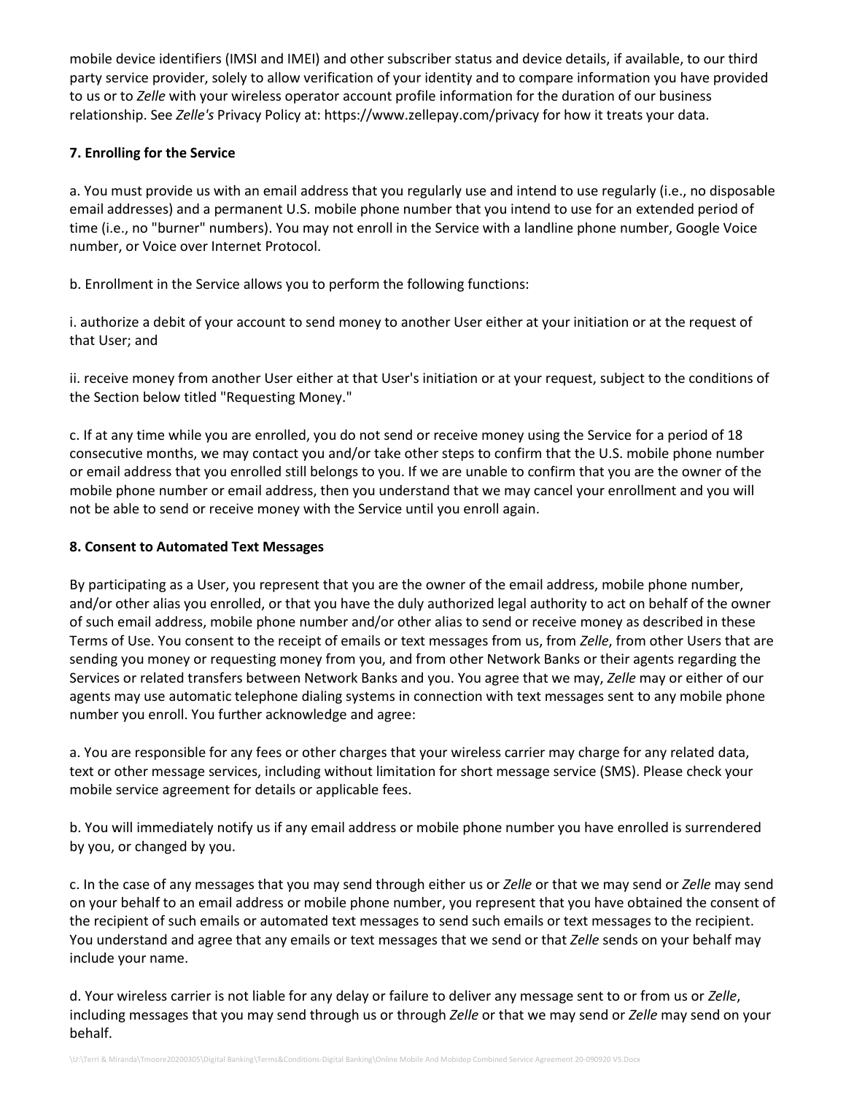mobile device identifiers (IMSI and IMEI) and other subscriber status and device details, if available, to our third party service provider, solely to allow verification of your identity and to compare information you have provided to us or to *Zelle* with your wireless operator account profile information for the duration of our business relationship. See *Zelle's* Privacy Policy at: https://www.zellepay.com/privacy for how it treats your data.

## **7. Enrolling for the Service**

a. You must provide us with an email address that you regularly use and intend to use regularly (i.e., no disposable email addresses) and a permanent U.S. mobile phone number that you intend to use for an extended period of time (i.e., no "burner" numbers). You may not enroll in the Service with a landline phone number, Google Voice number, or Voice over Internet Protocol.

b. Enrollment in the Service allows you to perform the following functions:

i. authorize a debit of your account to send money to another User either at your initiation or at the request of that User; and

ii. receive money from another User either at that User's initiation or at your request, subject to the conditions of the Section below titled "Requesting Money."

c. If at any time while you are enrolled, you do not send or receive money using the Service for a period of 18 consecutive months, we may contact you and/or take other steps to confirm that the U.S. mobile phone number or email address that you enrolled still belongs to you. If we are unable to confirm that you are the owner of the mobile phone number or email address, then you understand that we may cancel your enrollment and you will not be able to send or receive money with the Service until you enroll again.

## **8. Consent to Automated Text Messages**

By participating as a User, you represent that you are the owner of the email address, mobile phone number, and/or other alias you enrolled, or that you have the duly authorized legal authority to act on behalf of the owner of such email address, mobile phone number and/or other alias to send or receive money as described in these Terms of Use. You consent to the receipt of emails or text messages from us, from *Zelle*, from other Users that are sending you money or requesting money from you, and from other Network Banks or their agents regarding the Services or related transfers between Network Banks and you. You agree that we may, *Zelle* may or either of our agents may use automatic telephone dialing systems in connection with text messages sent to any mobile phone number you enroll. You further acknowledge and agree:

a. You are responsible for any fees or other charges that your wireless carrier may charge for any related data, text or other message services, including without limitation for short message service (SMS). Please check your mobile service agreement for details or applicable fees.

b. You will immediately notify us if any email address or mobile phone number you have enrolled is surrendered by you, or changed by you.

c. In the case of any messages that you may send through either us or *Zelle* or that we may send or *Zelle* may send on your behalf to an email address or mobile phone number, you represent that you have obtained the consent of the recipient of such emails or automated text messages to send such emails or text messages to the recipient. You understand and agree that any emails or text messages that we send or that *Zelle* sends on your behalf may include your name.

d. Your wireless carrier is not liable for any delay or failure to deliver any message sent to or from us or *Zelle*, including messages that you may send through us or through *Zelle* or that we may send or *Zelle* may send on your behalf.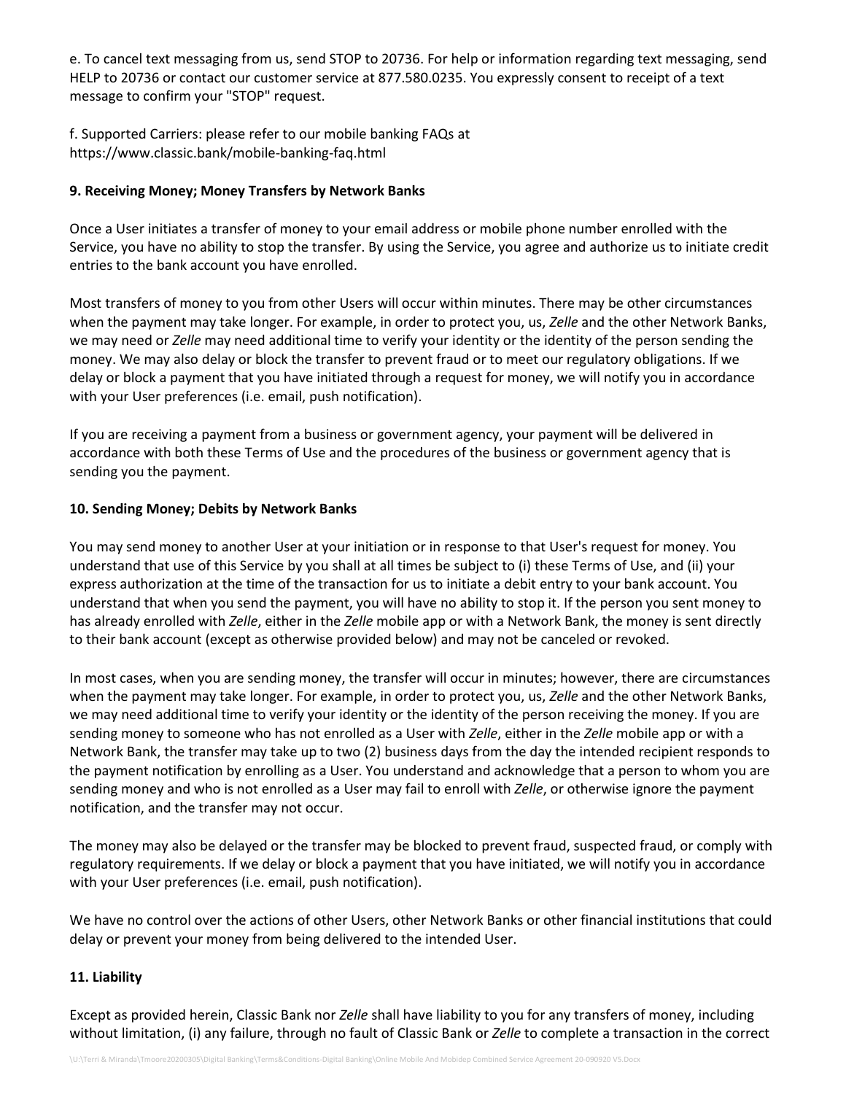e. To cancel text messaging from us, send STOP to 20736. For help or information regarding text messaging, send HELP to 20736 or contact our customer service at 877.580.0235. You expressly consent to receipt of a text message to confirm your "STOP" request.

f. Supported Carriers: please refer to our mobile banking FAQs at https://www.classic.bank/mobile-banking-faq.html

## **9. Receiving Money; Money Transfers by Network Banks**

Once a User initiates a transfer of money to your email address or mobile phone number enrolled with the Service, you have no ability to stop the transfer. By using the Service, you agree and authorize us to initiate credit entries to the bank account you have enrolled.

Most transfers of money to you from other Users will occur within minutes. There may be other circumstances when the payment may take longer. For example, in order to protect you, us, *Zelle* and the other Network Banks, we may need or *Zelle* may need additional time to verify your identity or the identity of the person sending the money. We may also delay or block the transfer to prevent fraud or to meet our regulatory obligations. If we delay or block a payment that you have initiated through a request for money, we will notify you in accordance with your User preferences (i.e. email, push notification).

If you are receiving a payment from a business or government agency, your payment will be delivered in accordance with both these Terms of Use and the procedures of the business or government agency that is sending you the payment.

### **10. Sending Money; Debits by Network Banks**

You may send money to another User at your initiation or in response to that User's request for money. You understand that use of this Service by you shall at all times be subject to (i) these Terms of Use, and (ii) your express authorization at the time of the transaction for us to initiate a debit entry to your bank account. You understand that when you send the payment, you will have no ability to stop it. If the person you sent money to has already enrolled with *Zelle*, either in the *Zelle* mobile app or with a Network Bank, the money is sent directly to their bank account (except as otherwise provided below) and may not be canceled or revoked.

In most cases, when you are sending money, the transfer will occur in minutes; however, there are circumstances when the payment may take longer. For example, in order to protect you, us, *Zelle* and the other Network Banks, we may need additional time to verify your identity or the identity of the person receiving the money. If you are sending money to someone who has not enrolled as a User with *Zelle*, either in the *Zelle* mobile app or with a Network Bank, the transfer may take up to two (2) business days from the day the intended recipient responds to the payment notification by enrolling as a User. You understand and acknowledge that a person to whom you are sending money and who is not enrolled as a User may fail to enroll with *Zelle*, or otherwise ignore the payment notification, and the transfer may not occur.

The money may also be delayed or the transfer may be blocked to prevent fraud, suspected fraud, or comply with regulatory requirements. If we delay or block a payment that you have initiated, we will notify you in accordance with your User preferences (i.e. email, push notification).

We have no control over the actions of other Users, other Network Banks or other financial institutions that could delay or prevent your money from being delivered to the intended User.

### **11. Liability**

Except as provided herein, Classic Bank nor *Zelle* shall have liability to you for any transfers of money, including without limitation, (i) any failure, through no fault of Classic Bank or *Zelle* to complete a transaction in the correct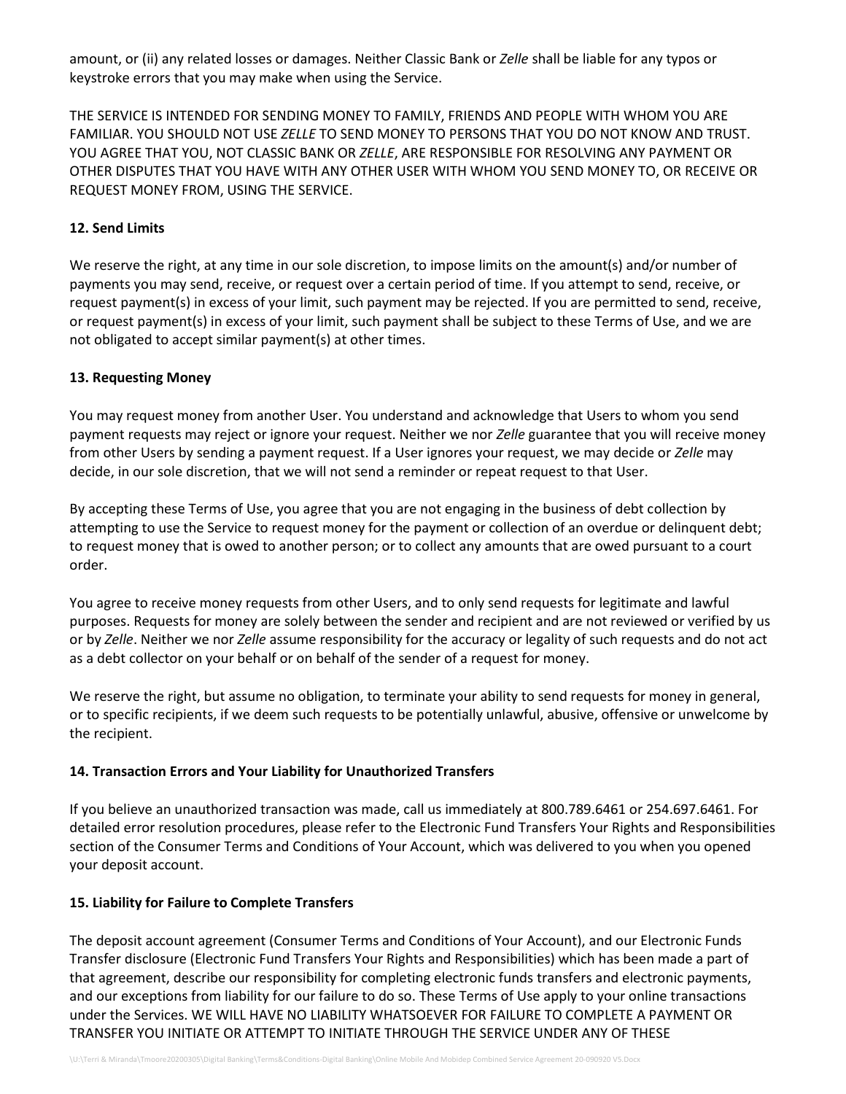amount, or (ii) any related losses or damages. Neither Classic Bank or *Zelle* shall be liable for any typos or keystroke errors that you may make when using the Service.

THE SERVICE IS INTENDED FOR SENDING MONEY TO FAMILY, FRIENDS AND PEOPLE WITH WHOM YOU ARE FAMILIAR. YOU SHOULD NOT USE *ZELLE* TO SEND MONEY TO PERSONS THAT YOU DO NOT KNOW AND TRUST. YOU AGREE THAT YOU, NOT CLASSIC BANK OR *ZELLE*, ARE RESPONSIBLE FOR RESOLVING ANY PAYMENT OR OTHER DISPUTES THAT YOU HAVE WITH ANY OTHER USER WITH WHOM YOU SEND MONEY TO, OR RECEIVE OR REQUEST MONEY FROM, USING THE SERVICE.

## **12. Send Limits**

We reserve the right, at any time in our sole discretion, to impose limits on the amount(s) and/or number of payments you may send, receive, or request over a certain period of time. If you attempt to send, receive, or request payment(s) in excess of your limit, such payment may be rejected. If you are permitted to send, receive, or request payment(s) in excess of your limit, such payment shall be subject to these Terms of Use, and we are not obligated to accept similar payment(s) at other times.

## **13. Requesting Money**

You may request money from another User. You understand and acknowledge that Users to whom you send payment requests may reject or ignore your request. Neither we nor *Zelle* guarantee that you will receive money from other Users by sending a payment request. If a User ignores your request, we may decide or *Zelle* may decide, in our sole discretion, that we will not send a reminder or repeat request to that User.

By accepting these Terms of Use, you agree that you are not engaging in the business of debt collection by attempting to use the Service to request money for the payment or collection of an overdue or delinquent debt; to request money that is owed to another person; or to collect any amounts that are owed pursuant to a court order.

You agree to receive money requests from other Users, and to only send requests for legitimate and lawful purposes. Requests for money are solely between the sender and recipient and are not reviewed or verified by us or by *Zelle*. Neither we nor *Zelle* assume responsibility for the accuracy or legality of such requests and do not act as a debt collector on your behalf or on behalf of the sender of a request for money.

We reserve the right, but assume no obligation, to terminate your ability to send requests for money in general, or to specific recipients, if we deem such requests to be potentially unlawful, abusive, offensive or unwelcome by the recipient.

### **14. Transaction Errors and Your Liability for Unauthorized Transfers**

If you believe an unauthorized transaction was made, call us immediately at 800.789.6461 or 254.697.6461. For detailed error resolution procedures, please refer to the Electronic Fund Transfers Your Rights and Responsibilities section of the Consumer Terms and Conditions of Your Account, which was delivered to you when you opened your deposit account.

### **15. Liability for Failure to Complete Transfers**

The deposit account agreement (Consumer Terms and Conditions of Your Account), and our Electronic Funds Transfer disclosure (Electronic Fund Transfers Your Rights and Responsibilities) which has been made a part of that agreement, describe our responsibility for completing electronic funds transfers and electronic payments, and our exceptions from liability for our failure to do so. These Terms of Use apply to your online transactions under the Services. WE WILL HAVE NO LIABILITY WHATSOEVER FOR FAILURE TO COMPLETE A PAYMENT OR TRANSFER YOU INITIATE OR ATTEMPT TO INITIATE THROUGH THE SERVICE UNDER ANY OF THESE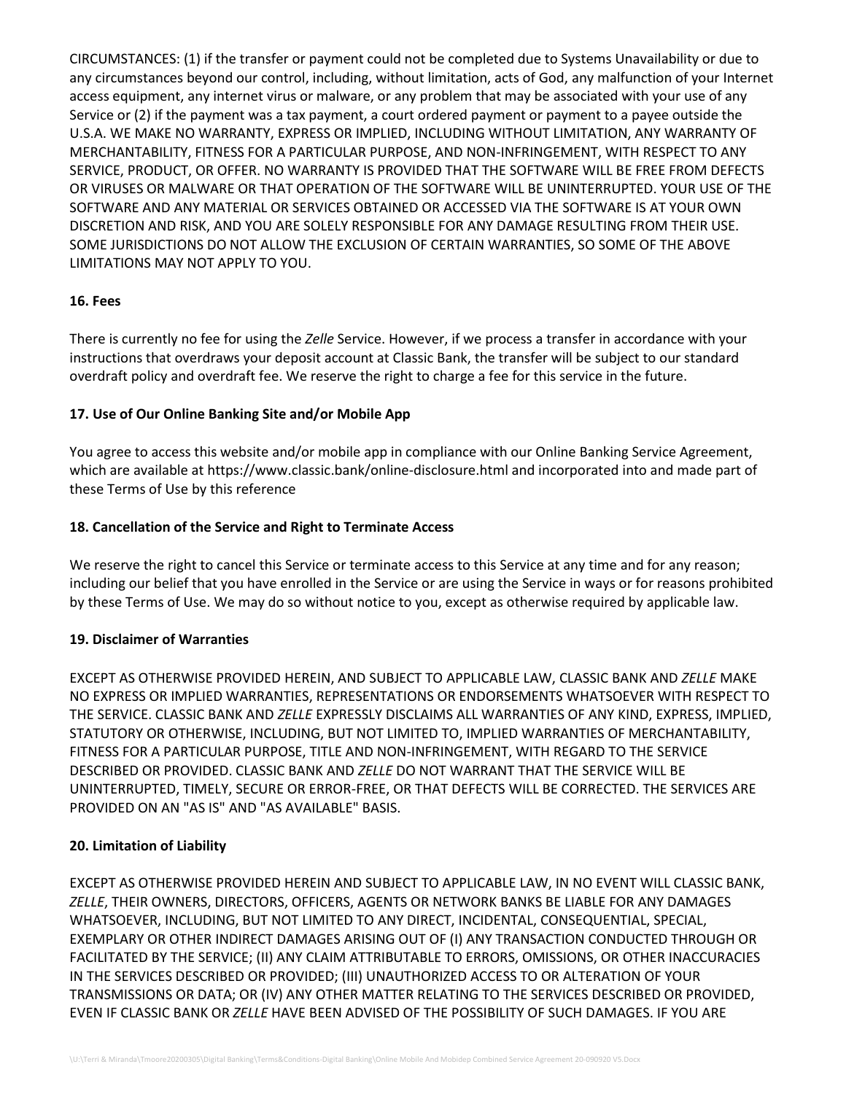CIRCUMSTANCES: (1) if the transfer or payment could not be completed due to Systems Unavailability or due to any circumstances beyond our control, including, without limitation, acts of God, any malfunction of your Internet access equipment, any internet virus or malware, or any problem that may be associated with your use of any Service or (2) if the payment was a tax payment, a court ordered payment or payment to a payee outside the U.S.A. WE MAKE NO WARRANTY, EXPRESS OR IMPLIED, INCLUDING WITHOUT LIMITATION, ANY WARRANTY OF MERCHANTABILITY, FITNESS FOR A PARTICULAR PURPOSE, AND NON-INFRINGEMENT, WITH RESPECT TO ANY SERVICE, PRODUCT, OR OFFER. NO WARRANTY IS PROVIDED THAT THE SOFTWARE WILL BE FREE FROM DEFECTS OR VIRUSES OR MALWARE OR THAT OPERATION OF THE SOFTWARE WILL BE UNINTERRUPTED. YOUR USE OF THE SOFTWARE AND ANY MATERIAL OR SERVICES OBTAINED OR ACCESSED VIA THE SOFTWARE IS AT YOUR OWN DISCRETION AND RISK, AND YOU ARE SOLELY RESPONSIBLE FOR ANY DAMAGE RESULTING FROM THEIR USE. SOME JURISDICTIONS DO NOT ALLOW THE EXCLUSION OF CERTAIN WARRANTIES, SO SOME OF THE ABOVE LIMITATIONS MAY NOT APPLY TO YOU.

### **16. Fees**

There is currently no fee for using the *Zelle* Service. However, if we process a transfer in accordance with your instructions that overdraws your deposit account at Classic Bank, the transfer will be subject to our standard overdraft policy and overdraft fee. We reserve the right to charge a fee for this service in the future.

## **17. Use of Our Online Banking Site and/or Mobile App**

You agree to access this website and/or mobile app in compliance with our Online Banking Service Agreement, which are available at https://www.classic.bank/online-disclosure.html and incorporated into and made part of these Terms of Use by this reference

## **18. Cancellation of the Service and Right to Terminate Access**

We reserve the right to cancel this Service or terminate access to this Service at any time and for any reason; including our belief that you have enrolled in the Service or are using the Service in ways or for reasons prohibited by these Terms of Use. We may do so without notice to you, except as otherwise required by applicable law.

### **19. Disclaimer of Warranties**

EXCEPT AS OTHERWISE PROVIDED HEREIN, AND SUBJECT TO APPLICABLE LAW, CLASSIC BANK AND *ZELLE* MAKE NO EXPRESS OR IMPLIED WARRANTIES, REPRESENTATIONS OR ENDORSEMENTS WHATSOEVER WITH RESPECT TO THE SERVICE. CLASSIC BANK AND *ZELLE* EXPRESSLY DISCLAIMS ALL WARRANTIES OF ANY KIND, EXPRESS, IMPLIED, STATUTORY OR OTHERWISE, INCLUDING, BUT NOT LIMITED TO, IMPLIED WARRANTIES OF MERCHANTABILITY, FITNESS FOR A PARTICULAR PURPOSE, TITLE AND NON-INFRINGEMENT, WITH REGARD TO THE SERVICE DESCRIBED OR PROVIDED. CLASSIC BANK AND *ZELLE* DO NOT WARRANT THAT THE SERVICE WILL BE UNINTERRUPTED, TIMELY, SECURE OR ERROR-FREE, OR THAT DEFECTS WILL BE CORRECTED. THE SERVICES ARE PROVIDED ON AN "AS IS" AND "AS AVAILABLE" BASIS.

### **20. Limitation of Liability**

EXCEPT AS OTHERWISE PROVIDED HEREIN AND SUBJECT TO APPLICABLE LAW, IN NO EVENT WILL CLASSIC BANK, *ZELLE*, THEIR OWNERS, DIRECTORS, OFFICERS, AGENTS OR NETWORK BANKS BE LIABLE FOR ANY DAMAGES WHATSOEVER, INCLUDING, BUT NOT LIMITED TO ANY DIRECT, INCIDENTAL, CONSEQUENTIAL, SPECIAL, EXEMPLARY OR OTHER INDIRECT DAMAGES ARISING OUT OF (I) ANY TRANSACTION CONDUCTED THROUGH OR FACILITATED BY THE SERVICE; (II) ANY CLAIM ATTRIBUTABLE TO ERRORS, OMISSIONS, OR OTHER INACCURACIES IN THE SERVICES DESCRIBED OR PROVIDED; (III) UNAUTHORIZED ACCESS TO OR ALTERATION OF YOUR TRANSMISSIONS OR DATA; OR (IV) ANY OTHER MATTER RELATING TO THE SERVICES DESCRIBED OR PROVIDED, EVEN IF CLASSIC BANK OR *ZELLE* HAVE BEEN ADVISED OF THE POSSIBILITY OF SUCH DAMAGES. IF YOU ARE